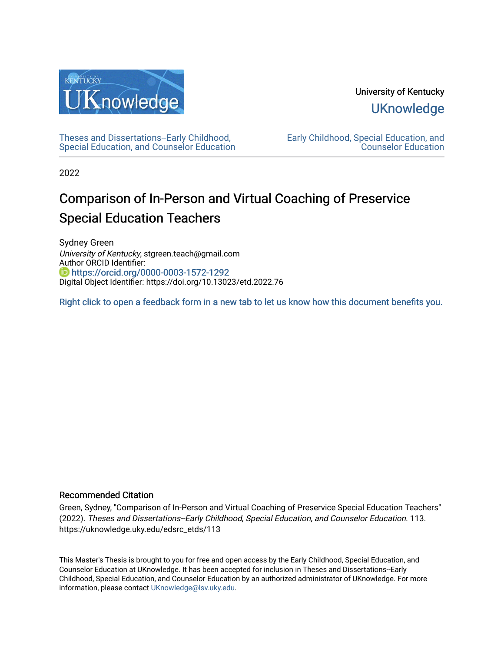

University of Kentucky **UKnowledge** 

[Theses and Dissertations--Early Childhood,](https://uknowledge.uky.edu/edsrc_etds)  [Special Education, and Counselor Education](https://uknowledge.uky.edu/edsrc_etds) [Early Childhood, Special Education, and](https://uknowledge.uky.edu/edsrc)  [Counselor Education](https://uknowledge.uky.edu/edsrc) 

2022

# Comparison of In-Person and Virtual Coaching of Preservice Special Education Teachers

Sydney Green University of Kentucky, stgreen.teach@gmail.com Author ORCID Identifier: <https://orcid.org/0000-0003-1572-1292> Digital Object Identifier: https://doi.org/10.13023/etd.2022.76

[Right click to open a feedback form in a new tab to let us know how this document benefits you.](https://uky.az1.qualtrics.com/jfe/form/SV_9mq8fx2GnONRfz7)

### Recommended Citation

Green, Sydney, "Comparison of In-Person and Virtual Coaching of Preservice Special Education Teachers" (2022). Theses and Dissertations--Early Childhood, Special Education, and Counselor Education. 113. https://uknowledge.uky.edu/edsrc\_etds/113

This Master's Thesis is brought to you for free and open access by the Early Childhood, Special Education, and Counselor Education at UKnowledge. It has been accepted for inclusion in Theses and Dissertations--Early Childhood, Special Education, and Counselor Education by an authorized administrator of UKnowledge. For more information, please contact [UKnowledge@lsv.uky.edu](mailto:UKnowledge@lsv.uky.edu).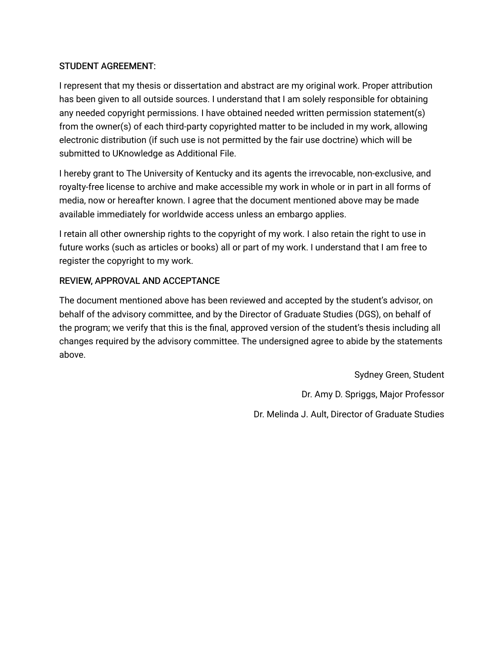### STUDENT AGREEMENT:

I represent that my thesis or dissertation and abstract are my original work. Proper attribution has been given to all outside sources. I understand that I am solely responsible for obtaining any needed copyright permissions. I have obtained needed written permission statement(s) from the owner(s) of each third-party copyrighted matter to be included in my work, allowing electronic distribution (if such use is not permitted by the fair use doctrine) which will be submitted to UKnowledge as Additional File.

I hereby grant to The University of Kentucky and its agents the irrevocable, non-exclusive, and royalty-free license to archive and make accessible my work in whole or in part in all forms of media, now or hereafter known. I agree that the document mentioned above may be made available immediately for worldwide access unless an embargo applies.

I retain all other ownership rights to the copyright of my work. I also retain the right to use in future works (such as articles or books) all or part of my work. I understand that I am free to register the copyright to my work.

### REVIEW, APPROVAL AND ACCEPTANCE

The document mentioned above has been reviewed and accepted by the student's advisor, on behalf of the advisory committee, and by the Director of Graduate Studies (DGS), on behalf of the program; we verify that this is the final, approved version of the student's thesis including all changes required by the advisory committee. The undersigned agree to abide by the statements above.

> Sydney Green, Student Dr. Amy D. Spriggs, Major Professor Dr. Melinda J. Ault, Director of Graduate Studies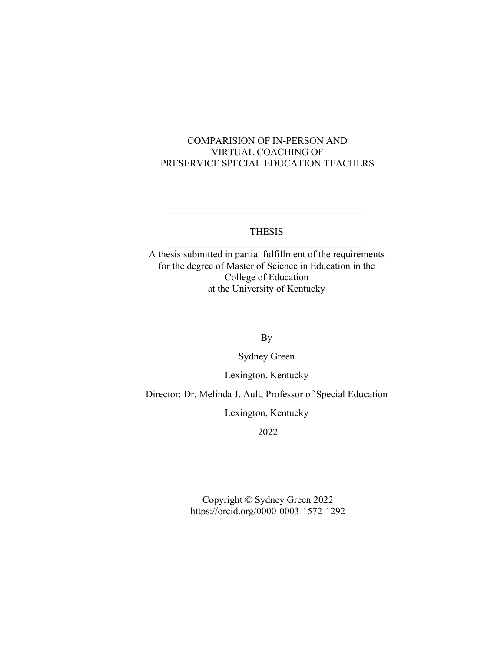### COMPARISION OF IN-PERSON AND VIRTUAL COACHING OF PRESERVICE SPECIAL EDUCATION TEACHERS

### THESIS  $\overline{\mathcal{L}}$  , and the state of the state of the state of the state of the state of the state of the state of the state of the state of the state of the state of the state of the state of the state of the state of the stat

A thesis submitted in partial fulfillment of the requirements for the degree of Master of Science in Education in the College of Education at the University of Kentucky

By

Sydney Green

Lexington, Kentucky

Director: Dr. Melinda J. Ault, Professor of Special Education

Lexington, Kentucky

2022

Copyright © Sydney Green 2022 https://orcid.org/0000-0003-1572-1292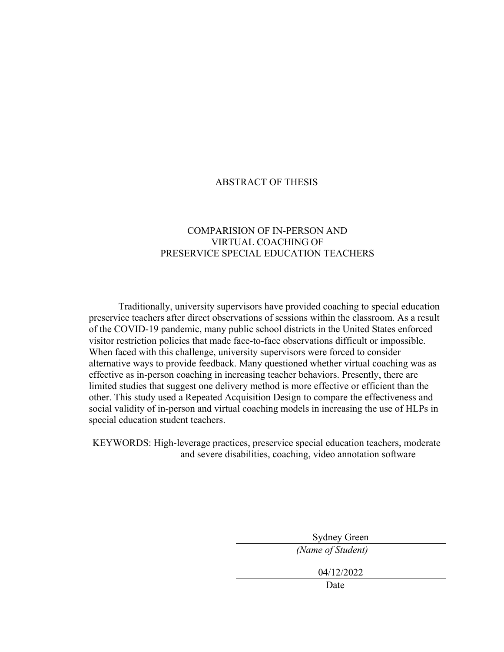### ABSTRACT OF THESIS

### COMPARISION OF IN-PERSON AND VIRTUAL COACHING OF PRESERVICE SPECIAL EDUCATION TEACHERS

Traditionally, university supervisors have provided coaching to special education preservice teachers after direct observations of sessions within the classroom. As a result of the COVID-19 pandemic, many public school districts in the United States enforced visitor restriction policies that made face-to-face observations difficult or impossible. When faced with this challenge, university supervisors were forced to consider alternative ways to provide feedback. Many questioned whether virtual coaching was as effective as in-person coaching in increasing teacher behaviors. Presently, there are limited studies that suggest one delivery method is more effective or efficient than the other. This study used a Repeated Acquisition Design to compare the effectiveness and social validity of in-person and virtual coaching models in increasing the use of HLPs in special education student teachers.

KEYWORDS: High-leverage practices, preservice special education teachers, moderate and severe disabilities, coaching, video annotation software

> Sydney Green *(Name of Student)*

> > 04/12/2022

Date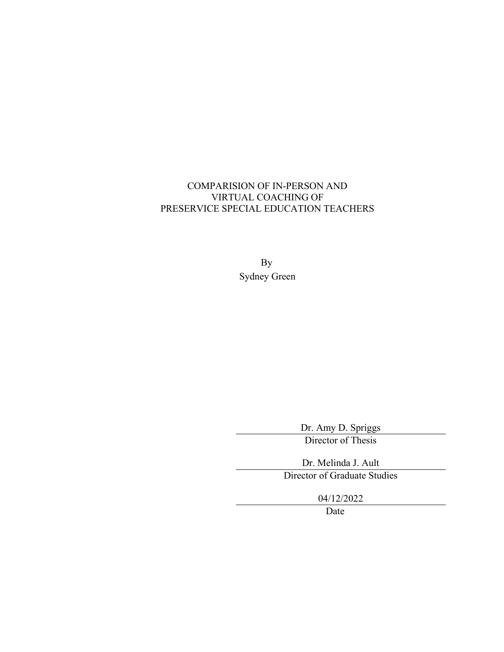## COMPARISION OF IN-PERSON AND VIRTUAL COACHING OF PRESERVICE SPECIAL EDUCATION TEACHERS

By Sydney Green

> Dr. Amy D. Spriggs Director of Thesis

Dr. Melinda J. Ault

Director of Graduate Studies

04/12/2022

Date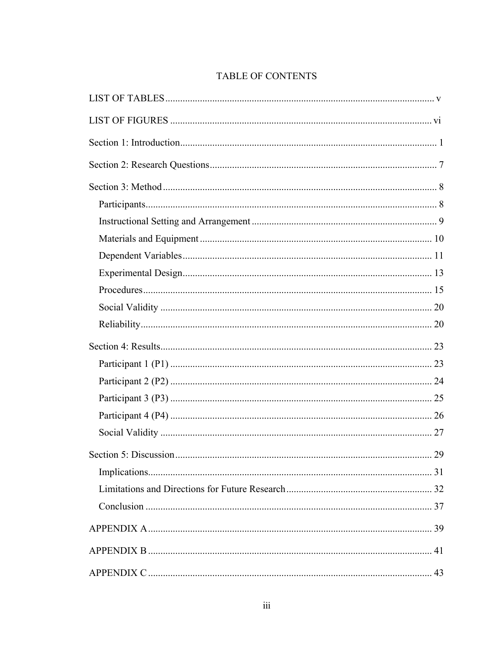# TABLE OF CONTENTS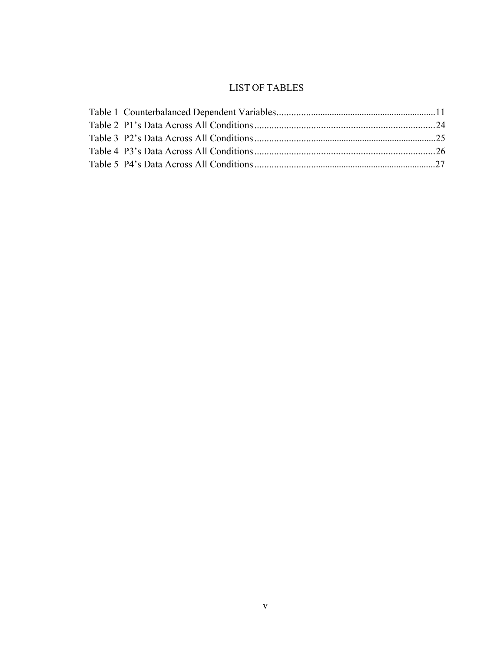# LIST OF TABLES

<span id="page-7-0"></span>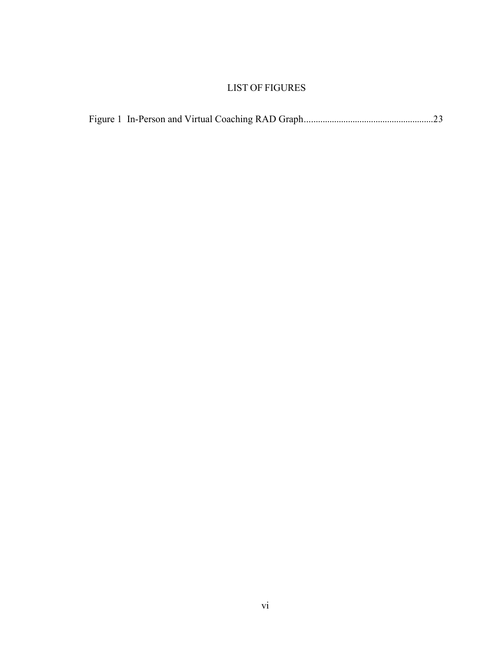# LIST OF FIGURES

<span id="page-8-0"></span>

|--|--|--|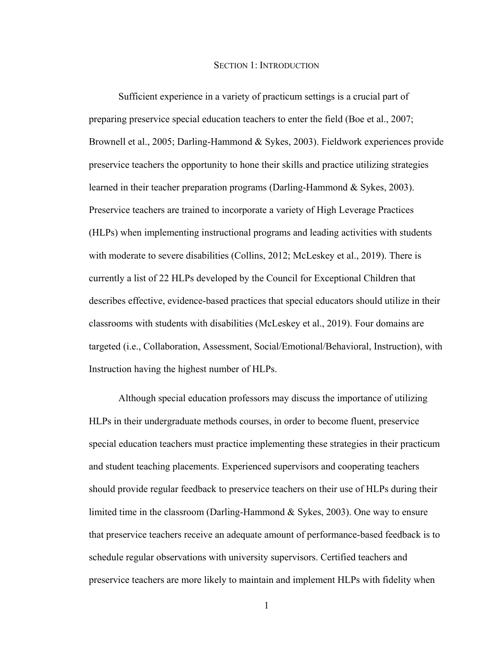#### SECTION 1: INTRODUCTION

<span id="page-9-0"></span>Sufficient experience in a variety of practicum settings is a crucial part of preparing preservice special education teachers to enter the field (Boe et al., 2007; Brownell et al., 2005; Darling-Hammond & Sykes, 2003). Fieldwork experiences provide preservice teachers the opportunity to hone their skills and practice utilizing strategies learned in their teacher preparation programs (Darling-Hammond & Sykes, 2003). Preservice teachers are trained to incorporate a variety of High Leverage Practices (HLPs) when implementing instructional programs and leading activities with students with moderate to severe disabilities (Collins, 2012; McLeskey et al., 2019). There is currently a list of 22 HLPs developed by the Council for Exceptional Children that describes effective, evidence-based practices that special educators should utilize in their classrooms with students with disabilities (McLeskey et al., 2019). Four domains are targeted (i.e., Collaboration, Assessment, Social/Emotional/Behavioral, Instruction), with Instruction having the highest number of HLPs.

Although special education professors may discuss the importance of utilizing HLPs in their undergraduate methods courses, in order to become fluent, preservice special education teachers must practice implementing these strategies in their practicum and student teaching placements. Experienced supervisors and cooperating teachers should provide regular feedback to preservice teachers on their use of HLPs during their limited time in the classroom (Darling-Hammond & Sykes, 2003). One way to ensure that preservice teachers receive an adequate amount of performance-based feedback is to schedule regular observations with university supervisors. Certified teachers and preservice teachers are more likely to maintain and implement HLPs with fidelity when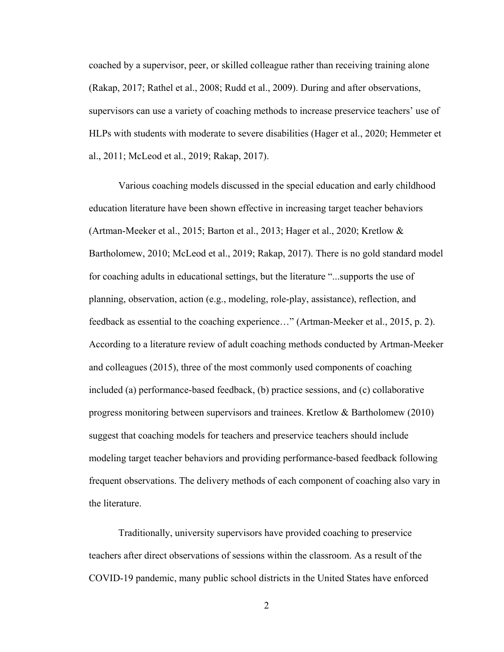coached by a supervisor, peer, or skilled colleague rather than receiving training alone (Rakap, 2017; Rathel et al., 2008; Rudd et al., 2009). During and after observations, supervisors can use a variety of coaching methods to increase preservice teachers' use of HLPs with students with moderate to severe disabilities (Hager et al., 2020; Hemmeter et al., 2011; McLeod et al., 2019; Rakap, 2017).

Various coaching models discussed in the special education and early childhood education literature have been shown effective in increasing target teacher behaviors (Artman-Meeker et al., 2015; Barton et al., 2013; Hager et al., 2020; Kretlow & Bartholomew, 2010; McLeod et al., 2019; Rakap, 2017). There is no gold standard model for coaching adults in educational settings, but the literature "...supports the use of planning, observation, action (e.g., modeling, role-play, assistance), reflection, and feedback as essential to the coaching experience…" (Artman-Meeker et al., 2015, p. 2). According to a literature review of adult coaching methods conducted by Artman-Meeker and colleagues (2015), three of the most commonly used components of coaching included (a) performance-based feedback, (b) practice sessions, and (c) collaborative progress monitoring between supervisors and trainees. Kretlow & Bartholomew (2010) suggest that coaching models for teachers and preservice teachers should include modeling target teacher behaviors and providing performance-based feedback following frequent observations. The delivery methods of each component of coaching also vary in the literature.

Traditionally, university supervisors have provided coaching to preservice teachers after direct observations of sessions within the classroom. As a result of the COVID-19 pandemic, many public school districts in the United States have enforced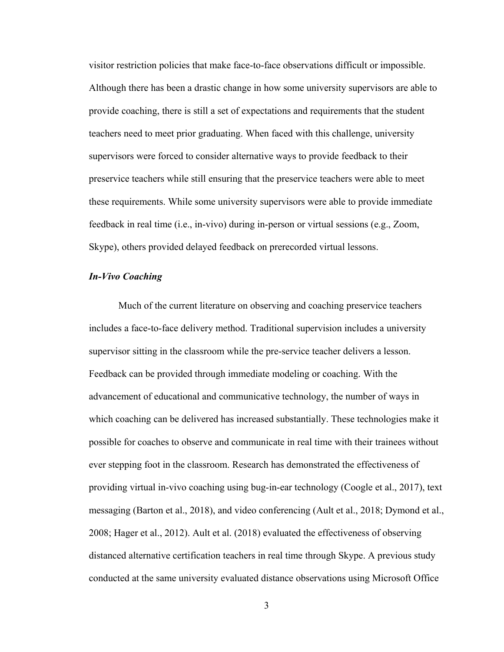visitor restriction policies that make face-to-face observations difficult or impossible. Although there has been a drastic change in how some university supervisors are able to provide coaching, there is still a set of expectations and requirements that the student teachers need to meet prior graduating. When faced with this challenge, university supervisors were forced to consider alternative ways to provide feedback to their preservice teachers while still ensuring that the preservice teachers were able to meet these requirements. While some university supervisors were able to provide immediate feedback in real time (i.e., in-vivo) during in-person or virtual sessions (e.g., Zoom, Skype), others provided delayed feedback on prerecorded virtual lessons.

#### *In-Vivo Coaching*

Much of the current literature on observing and coaching preservice teachers includes a face-to-face delivery method. Traditional supervision includes a university supervisor sitting in the classroom while the pre-service teacher delivers a lesson. Feedback can be provided through immediate modeling or coaching. With the advancement of educational and communicative technology, the number of ways in which coaching can be delivered has increased substantially. These technologies make it possible for coaches to observe and communicate in real time with their trainees without ever stepping foot in the classroom. Research has demonstrated the effectiveness of providing virtual in-vivo coaching using bug-in-ear technology (Coogle et al., 2017), text messaging (Barton et al., 2018), and video conferencing (Ault et al., 2018; Dymond et al., 2008; Hager et al., 2012). Ault et al. (2018) evaluated the effectiveness of observing distanced alternative certification teachers in real time through Skype. A previous study conducted at the same university evaluated distance observations using Microsoft Office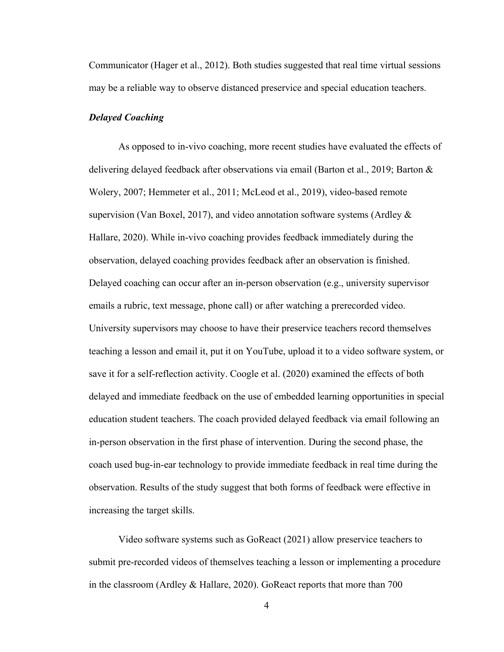Communicator (Hager et al., 2012). Both studies suggested that real time virtual sessions may be a reliable way to observe distanced preservice and special education teachers.

#### *Delayed Coaching*

As opposed to in-vivo coaching, more recent studies have evaluated the effects of delivering delayed feedback after observations via email (Barton et al., 2019; Barton & Wolery, 2007; Hemmeter et al., 2011; McLeod et al., 2019), video-based remote supervision (Van Boxel, 2017), and video annotation software systems (Ardley  $\&$ Hallare, 2020). While in-vivo coaching provides feedback immediately during the observation, delayed coaching provides feedback after an observation is finished. Delayed coaching can occur after an in-person observation (e.g., university supervisor emails a rubric, text message, phone call) or after watching a prerecorded video. University supervisors may choose to have their preservice teachers record themselves teaching a lesson and email it, put it on YouTube, upload it to a video software system, or save it for a self-reflection activity. Coogle et al. (2020) examined the effects of both delayed and immediate feedback on the use of embedded learning opportunities in special education student teachers. The coach provided delayed feedback via email following an in-person observation in the first phase of intervention. During the second phase, the coach used bug-in-ear technology to provide immediate feedback in real time during the observation. Results of the study suggest that both forms of feedback were effective in increasing the target skills.

Video software systems such as GoReact (2021) allow preservice teachers to submit pre-recorded videos of themselves teaching a lesson or implementing a procedure in the classroom (Ardley & Hallare, 2020). GoReact reports that more than 700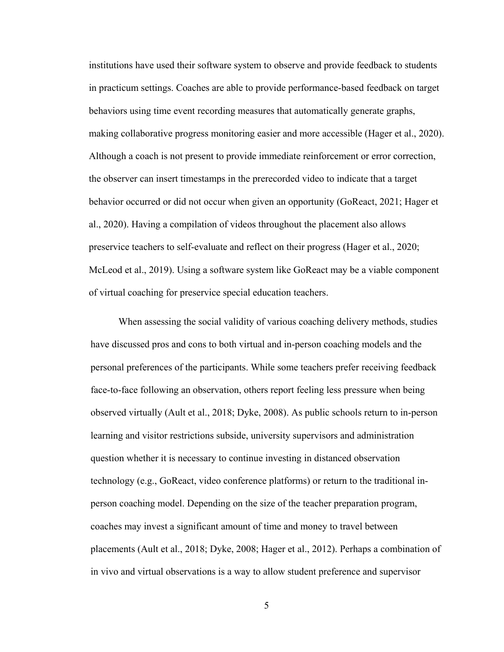institutions have used their software system to observe and provide feedback to students in practicum settings. Coaches are able to provide performance-based feedback on target behaviors using time event recording measures that automatically generate graphs, making collaborative progress monitoring easier and more accessible (Hager et al., 2020). Although a coach is not present to provide immediate reinforcement or error correction, the observer can insert timestamps in the prerecorded video to indicate that a target behavior occurred or did not occur when given an opportunity (GoReact, 2021; Hager et al., 2020). Having a compilation of videos throughout the placement also allows preservice teachers to self-evaluate and reflect on their progress (Hager et al., 2020; McLeod et al., 2019). Using a software system like GoReact may be a viable component of virtual coaching for preservice special education teachers.

When assessing the social validity of various coaching delivery methods, studies have discussed pros and cons to both virtual and in-person coaching models and the personal preferences of the participants. While some teachers prefer receiving feedback face-to-face following an observation, others report feeling less pressure when being observed virtually (Ault et al., 2018; Dyke, 2008). As public schools return to in-person learning and visitor restrictions subside, university supervisors and administration question whether it is necessary to continue investing in distanced observation technology (e.g., GoReact, video conference platforms) or return to the traditional inperson coaching model. Depending on the size of the teacher preparation program, coaches may invest a significant amount of time and money to travel between placements (Ault et al., 2018; Dyke, 2008; Hager et al., 2012). Perhaps a combination of in vivo and virtual observations is a way to allow student preference and supervisor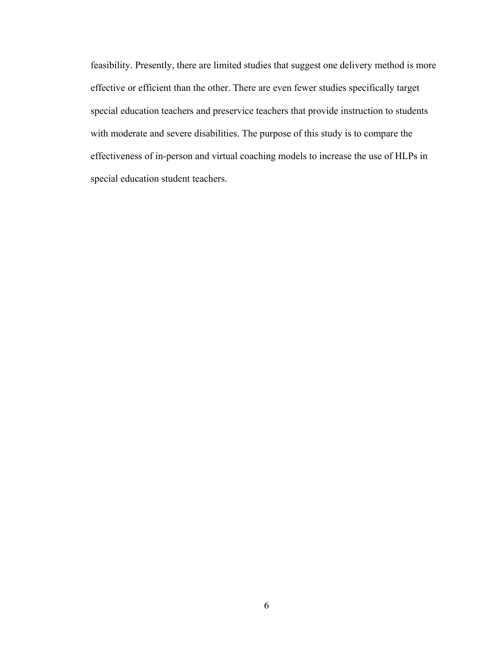feasibility. Presently, there are limited studies that suggest one delivery method is more effective or efficient than the other. There are even fewer studies specifically target special education teachers and preservice teachers that provide instruction to students with moderate and severe disabilities. The purpose of this study is to compare the effectiveness of in-person and virtual coaching models to increase the use of HLPs in special education student teachers.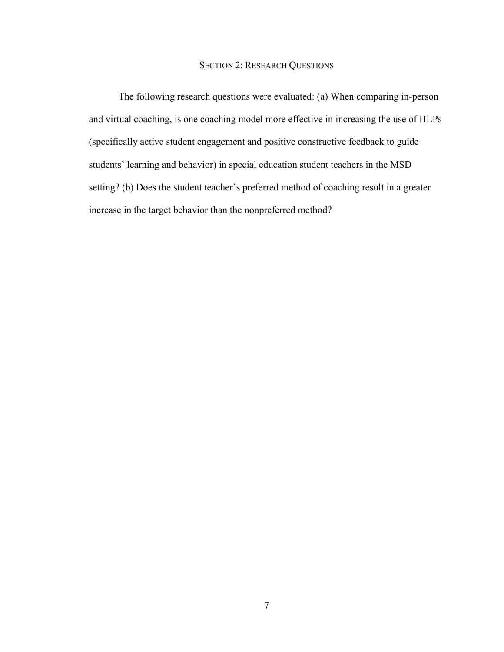#### SECTION 2: RESEARCH QUESTIONS

<span id="page-15-0"></span>The following research questions were evaluated: (a) When comparing in-person and virtual coaching, is one coaching model more effective in increasing the use of HLPs (specifically active student engagement and positive constructive feedback to guide students' learning and behavior) in special education student teachers in the MSD setting? (b) Does the student teacher's preferred method of coaching result in a greater increase in the target behavior than the nonpreferred method?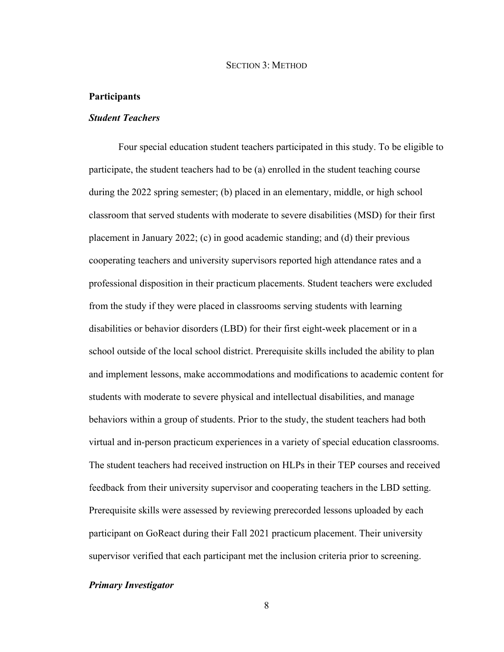#### SECTION 3: METHOD

#### <span id="page-16-1"></span><span id="page-16-0"></span>**Participants**

#### *Student Teachers*

Four special education student teachers participated in this study. To be eligible to participate, the student teachers had to be (a) enrolled in the student teaching course during the 2022 spring semester; (b) placed in an elementary, middle, or high school classroom that served students with moderate to severe disabilities (MSD) for their first placement in January 2022; (c) in good academic standing; and (d) their previous cooperating teachers and university supervisors reported high attendance rates and a professional disposition in their practicum placements. Student teachers were excluded from the study if they were placed in classrooms serving students with learning disabilities or behavior disorders (LBD) for their first eight-week placement or in a school outside of the local school district. Prerequisite skills included the ability to plan and implement lessons, make accommodations and modifications to academic content for students with moderate to severe physical and intellectual disabilities, and manage behaviors within a group of students. Prior to the study, the student teachers had both virtual and in-person practicum experiences in a variety of special education classrooms. The student teachers had received instruction on HLPs in their TEP courses and received feedback from their university supervisor and cooperating teachers in the LBD setting. Prerequisite skills were assessed by reviewing prerecorded lessons uploaded by each participant on GoReact during their Fall 2021 practicum placement. Their university supervisor verified that each participant met the inclusion criteria prior to screening.

#### *Primary Investigator*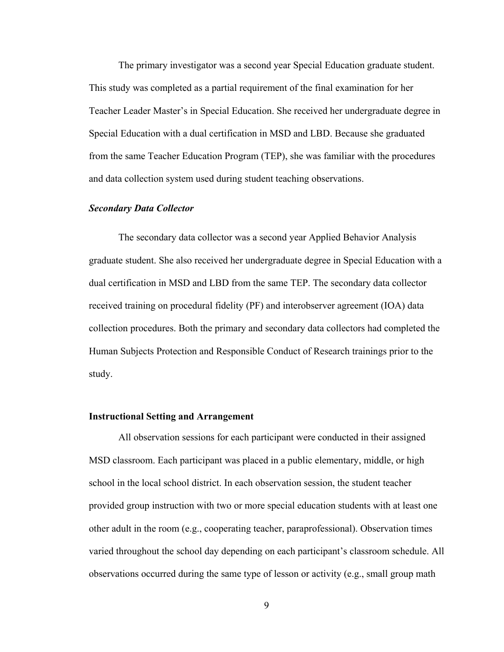The primary investigator was a second year Special Education graduate student. This study was completed as a partial requirement of the final examination for her Teacher Leader Master's in Special Education. She received her undergraduate degree in Special Education with a dual certification in MSD and LBD. Because she graduated from the same Teacher Education Program (TEP), she was familiar with the procedures and data collection system used during student teaching observations.

#### *Secondary Data Collector*

The secondary data collector was a second year Applied Behavior Analysis graduate student. She also received her undergraduate degree in Special Education with a dual certification in MSD and LBD from the same TEP. The secondary data collector received training on procedural fidelity (PF) and interobserver agreement (IOA) data collection procedures. Both the primary and secondary data collectors had completed the Human Subjects Protection and Responsible Conduct of Research trainings prior to the study.

#### <span id="page-17-0"></span>**Instructional Setting and Arrangement**

All observation sessions for each participant were conducted in their assigned MSD classroom. Each participant was placed in a public elementary, middle, or high school in the local school district. In each observation session, the student teacher provided group instruction with two or more special education students with at least one other adult in the room (e.g., cooperating teacher, paraprofessional). Observation times varied throughout the school day depending on each participant's classroom schedule. All observations occurred during the same type of lesson or activity (e.g., small group math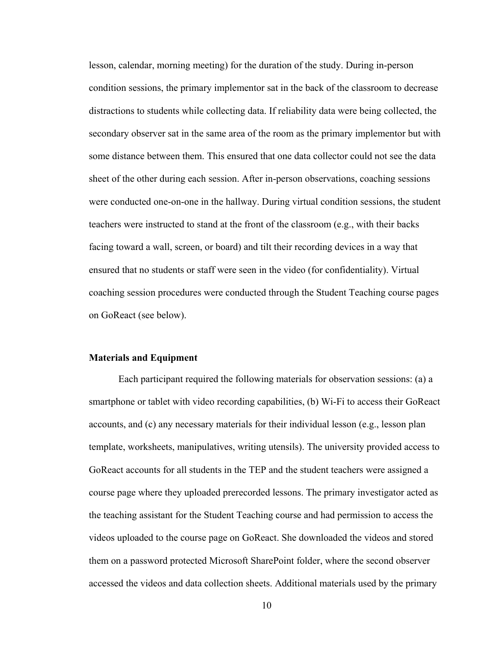lesson, calendar, morning meeting) for the duration of the study. During in-person condition sessions, the primary implementor sat in the back of the classroom to decrease distractions to students while collecting data. If reliability data were being collected, the secondary observer sat in the same area of the room as the primary implementor but with some distance between them. This ensured that one data collector could not see the data sheet of the other during each session. After in-person observations, coaching sessions were conducted one-on-one in the hallway. During virtual condition sessions, the student teachers were instructed to stand at the front of the classroom (e.g., with their backs facing toward a wall, screen, or board) and tilt their recording devices in a way that ensured that no students or staff were seen in the video (for confidentiality). Virtual coaching session procedures were conducted through the Student Teaching course pages on GoReact (see below).

#### <span id="page-18-0"></span>**Materials and Equipment**

Each participant required the following materials for observation sessions: (a) a smartphone or tablet with video recording capabilities, (b) Wi-Fi to access their GoReact accounts, and (c) any necessary materials for their individual lesson (e.g., lesson plan template, worksheets, manipulatives, writing utensils). The university provided access to GoReact accounts for all students in the TEP and the student teachers were assigned a course page where they uploaded prerecorded lessons. The primary investigator acted as the teaching assistant for the Student Teaching course and had permission to access the videos uploaded to the course page on GoReact. She downloaded the videos and stored them on a password protected Microsoft SharePoint folder, where the second observer accessed the videos and data collection sheets. Additional materials used by the primary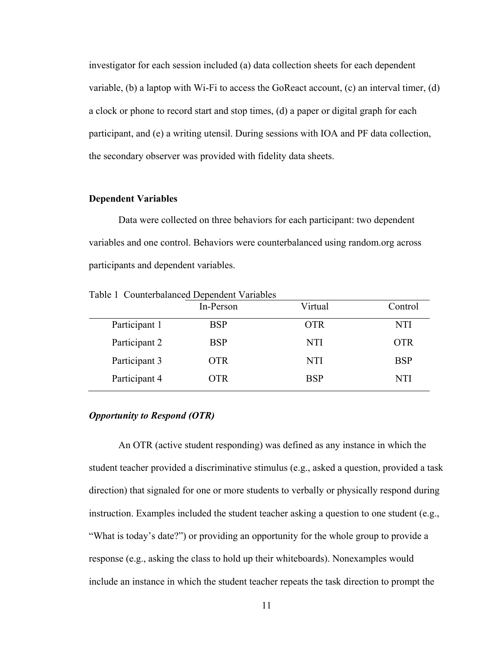investigator for each session included (a) data collection sheets for each dependent variable, (b) a laptop with Wi-Fi to access the GoReact account,  $(c)$  an interval timer, (d) a clock or phone to record start and stop times, (d) a paper or digital graph for each participant, and (e) a writing utensil. During sessions with IOA and PF data collection, the secondary observer was provided with fidelity data sheets.

#### <span id="page-19-0"></span>**Dependent Variables**

Data were collected on three behaviors for each participant: two dependent variables and one control. Behaviors were counterbalanced using random.org across participants and dependent variables.

|               | In-Person  | Virtual    | Control    |
|---------------|------------|------------|------------|
| Participant 1 | <b>BSP</b> | <b>OTR</b> | NTI        |
| Participant 2 | <b>BSP</b> | NTI        | <b>OTR</b> |
| Participant 3 | <b>OTR</b> | NTI        | <b>BSP</b> |
| Participant 4 | OTR        | <b>BSP</b> | NTI        |

Table 1 Counterbalanced Dependent Variables

#### *Opportunity to Respond (OTR)*

An OTR (active student responding) was defined as any instance in which the student teacher provided a discriminative stimulus (e.g., asked a question, provided a task direction) that signaled for one or more students to verbally or physically respond during instruction. Examples included the student teacher asking a question to one student (e.g., "What is today's date?") or providing an opportunity for the whole group to provide a response (e.g., asking the class to hold up their whiteboards). Nonexamples would include an instance in which the student teacher repeats the task direction to prompt the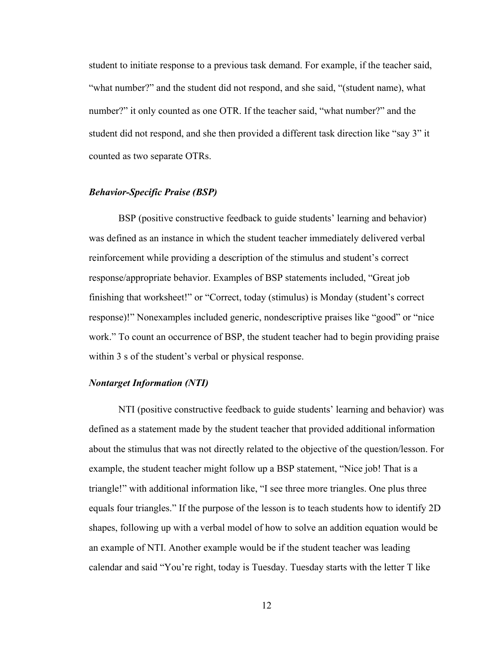student to initiate response to a previous task demand. For example, if the teacher said, "what number?" and the student did not respond, and she said, "(student name), what number?" it only counted as one OTR. If the teacher said, "what number?" and the student did not respond, and she then provided a different task direction like "say 3" it counted as two separate OTRs.

#### *Behavior-Specific Praise (BSP)*

BSP (positive constructive feedback to guide students' learning and behavior) was defined as an instance in which the student teacher immediately delivered verbal reinforcement while providing a description of the stimulus and student's correct response/appropriate behavior. Examples of BSP statements included, "Great job finishing that worksheet!" or "Correct, today (stimulus) is Monday (student's correct response)!" Nonexamples included generic, nondescriptive praises like "good" or "nice work." To count an occurrence of BSP, the student teacher had to begin providing praise within 3 s of the student's verbal or physical response.

#### *Nontarget Information (NTI)*

NTI (positive constructive feedback to guide students' learning and behavior) was defined as a statement made by the student teacher that provided additional information about the stimulus that was not directly related to the objective of the question/lesson. For example, the student teacher might follow up a BSP statement, "Nice job! That is a triangle!" with additional information like, "I see three more triangles. One plus three equals four triangles." If the purpose of the lesson is to teach students how to identify 2D shapes, following up with a verbal model of how to solve an addition equation would be an example of NTI. Another example would be if the student teacher was leading calendar and said "You're right, today is Tuesday. Tuesday starts with the letter T like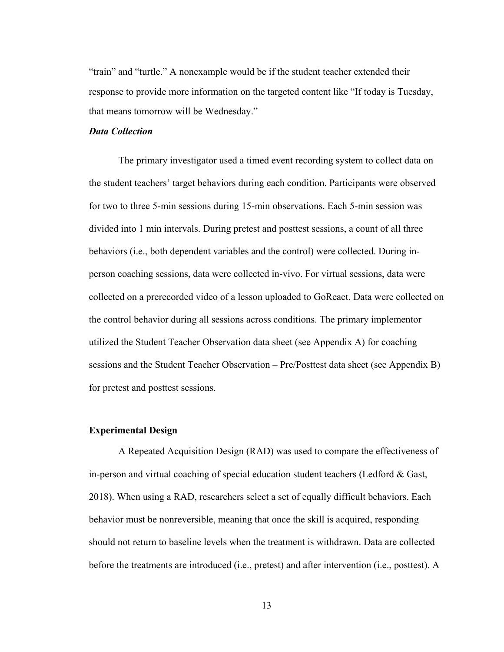"train" and "turtle." A nonexample would be if the student teacher extended their response to provide more information on the targeted content like "If today is Tuesday, that means tomorrow will be Wednesday."

### *Data Collection*

The primary investigator used a timed event recording system to collect data on the student teachers' target behaviors during each condition. Participants were observed for two to three 5-min sessions during 15-min observations. Each 5-min session was divided into 1 min intervals. During pretest and posttest sessions, a count of all three behaviors (i.e., both dependent variables and the control) were collected. During inperson coaching sessions, data were collected in-vivo. For virtual sessions, data were collected on a prerecorded video of a lesson uploaded to GoReact. Data were collected on the control behavior during all sessions across conditions. The primary implementor utilized the Student Teacher Observation data sheet (see Appendix A) for coaching sessions and the Student Teacher Observation – Pre/Posttest data sheet (see Appendix B) for pretest and posttest sessions.

#### <span id="page-21-0"></span>**Experimental Design**

A Repeated Acquisition Design (RAD) was used to compare the effectiveness of in-person and virtual coaching of special education student teachers (Ledford & Gast, 2018). When using a RAD, researchers select a set of equally difficult behaviors. Each behavior must be nonreversible, meaning that once the skill is acquired, responding should not return to baseline levels when the treatment is withdrawn. Data are collected before the treatments are introduced (i.e., pretest) and after intervention (i.e., posttest). A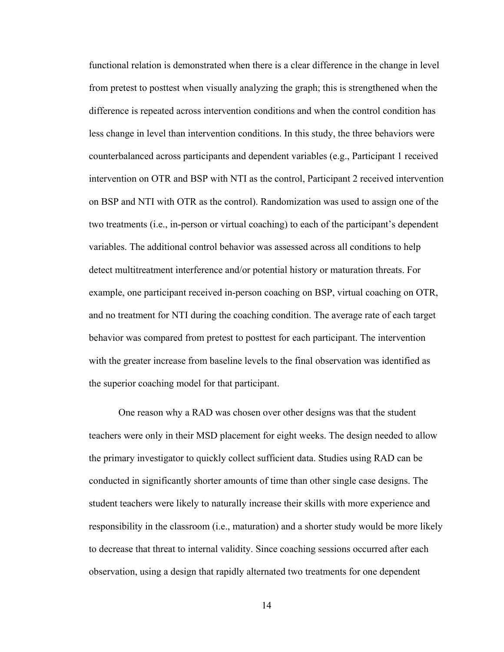functional relation is demonstrated when there is a clear difference in the change in level from pretest to posttest when visually analyzing the graph; this is strengthened when the difference is repeated across intervention conditions and when the control condition has less change in level than intervention conditions. In this study, the three behaviors were counterbalanced across participants and dependent variables (e.g., Participant 1 received intervention on OTR and BSP with NTI as the control, Participant 2 received intervention on BSP and NTI with OTR as the control). Randomization was used to assign one of the two treatments (i.e., in-person or virtual coaching) to each of the participant's dependent variables. The additional control behavior was assessed across all conditions to help detect multitreatment interference and/or potential history or maturation threats. For example, one participant received in-person coaching on BSP, virtual coaching on OTR, and no treatment for NTI during the coaching condition. The average rate of each target behavior was compared from pretest to posttest for each participant. The intervention with the greater increase from baseline levels to the final observation was identified as the superior coaching model for that participant.

One reason why a RAD was chosen over other designs was that the student teachers were only in their MSD placement for eight weeks. The design needed to allow the primary investigator to quickly collect sufficient data. Studies using RAD can be conducted in significantly shorter amounts of time than other single case designs. The student teachers were likely to naturally increase their skills with more experience and responsibility in the classroom (i.e., maturation) and a shorter study would be more likely to decrease that threat to internal validity. Since coaching sessions occurred after each observation, using a design that rapidly alternated two treatments for one dependent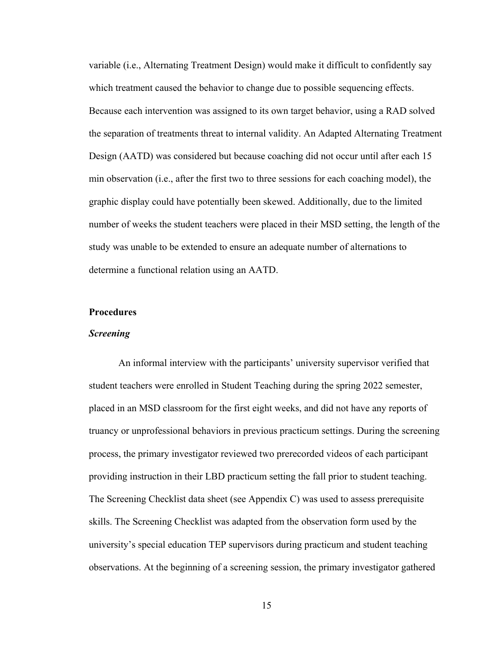variable (i.e., Alternating Treatment Design) would make it difficult to confidently say which treatment caused the behavior to change due to possible sequencing effects. Because each intervention was assigned to its own target behavior, using a RAD solved the separation of treatments threat to internal validity. An Adapted Alternating Treatment Design (AATD) was considered but because coaching did not occur until after each 15 min observation (i.e., after the first two to three sessions for each coaching model), the graphic display could have potentially been skewed. Additionally, due to the limited number of weeks the student teachers were placed in their MSD setting, the length of the study was unable to be extended to ensure an adequate number of alternations to determine a functional relation using an AATD.

### <span id="page-23-0"></span>**Procedures**

#### *Screening*

An informal interview with the participants' university supervisor verified that student teachers were enrolled in Student Teaching during the spring 2022 semester, placed in an MSD classroom for the first eight weeks, and did not have any reports of truancy or unprofessional behaviors in previous practicum settings. During the screening process, the primary investigator reviewed two prerecorded videos of each participant providing instruction in their LBD practicum setting the fall prior to student teaching. The Screening Checklist data sheet (see Appendix C) was used to assess prerequisite skills. The Screening Checklist was adapted from the observation form used by the university's special education TEP supervisors during practicum and student teaching observations. At the beginning of a screening session, the primary investigator gathered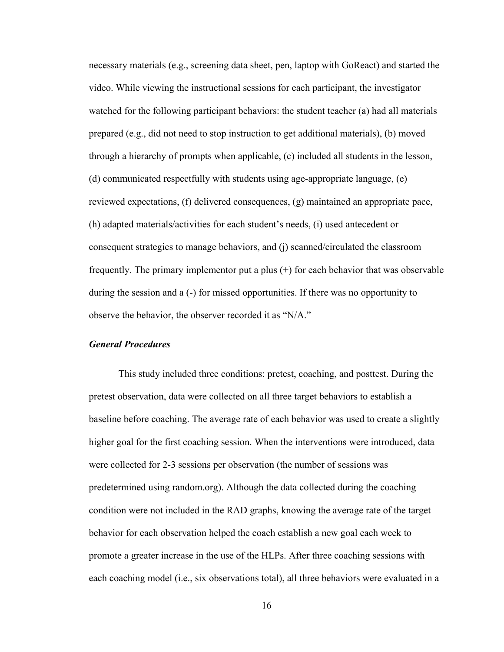necessary materials (e.g., screening data sheet, pen, laptop with GoReact) and started the video. While viewing the instructional sessions for each participant, the investigator watched for the following participant behaviors: the student teacher (a) had all materials prepared (e.g., did not need to stop instruction to get additional materials), (b) moved through a hierarchy of prompts when applicable, (c) included all students in the lesson, (d) communicated respectfully with students using age-appropriate language, (e) reviewed expectations, (f) delivered consequences, (g) maintained an appropriate pace, (h) adapted materials/activities for each student's needs, (i) used antecedent or consequent strategies to manage behaviors, and (j) scanned/circulated the classroom frequently. The primary implementor put a plus (+) for each behavior that was observable during the session and a (-) for missed opportunities. If there was no opportunity to observe the behavior, the observer recorded it as "N/A."

### *General Procedures*

This study included three conditions: pretest, coaching, and posttest. During the pretest observation, data were collected on all three target behaviors to establish a baseline before coaching. The average rate of each behavior was used to create a slightly higher goal for the first coaching session. When the interventions were introduced, data were collected for 2-3 sessions per observation (the number of sessions was predetermined using random.org). Although the data collected during the coaching condition were not included in the RAD graphs, knowing the average rate of the target behavior for each observation helped the coach establish a new goal each week to promote a greater increase in the use of the HLPs. After three coaching sessions with each coaching model (i.e., six observations total), all three behaviors were evaluated in a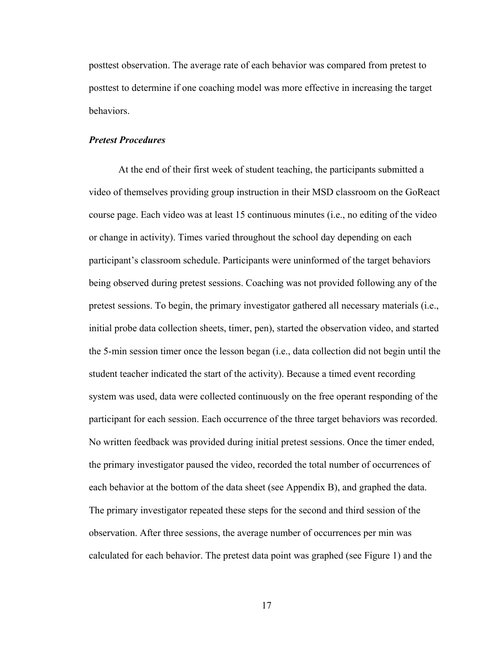posttest observation. The average rate of each behavior was compared from pretest to posttest to determine if one coaching model was more effective in increasing the target behaviors.

### *Pretest Procedures*

At the end of their first week of student teaching, the participants submitted a video of themselves providing group instruction in their MSD classroom on the GoReact course page. Each video was at least 15 continuous minutes (i.e., no editing of the video or change in activity). Times varied throughout the school day depending on each participant's classroom schedule. Participants were uninformed of the target behaviors being observed during pretest sessions. Coaching was not provided following any of the pretest sessions. To begin, the primary investigator gathered all necessary materials (i.e., initial probe data collection sheets, timer, pen), started the observation video, and started the 5-min session timer once the lesson began (i.e., data collection did not begin until the student teacher indicated the start of the activity). Because a timed event recording system was used, data were collected continuously on the free operant responding of the participant for each session. Each occurrence of the three target behaviors was recorded. No written feedback was provided during initial pretest sessions. Once the timer ended, the primary investigator paused the video, recorded the total number of occurrences of each behavior at the bottom of the data sheet (see Appendix B), and graphed the data. The primary investigator repeated these steps for the second and third session of the observation. After three sessions, the average number of occurrences per min was calculated for each behavior. The pretest data point was graphed (see Figure 1) and the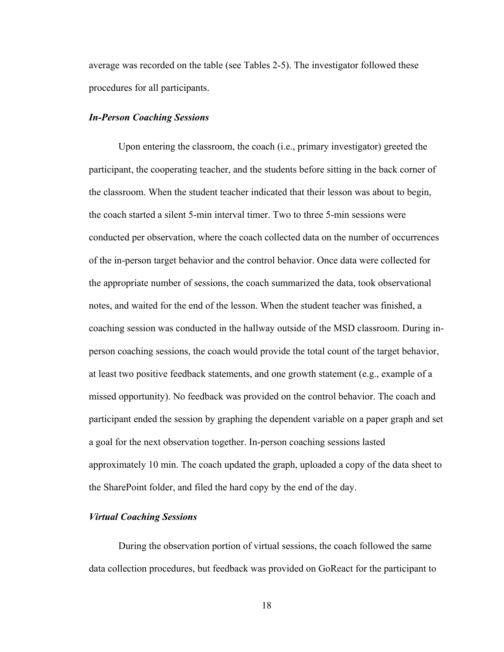average was recorded on the table (see Tables 2-5). The investigator followed these procedures for all participants.

#### *In-Person Coaching Sessions*

Upon entering the classroom, the coach (i.e., primary investigator) greeted the participant, the cooperating teacher, and the students before sitting in the back corner of the classroom. When the student teacher indicated that their lesson was about to begin, the coach started a silent 5-min interval timer. Two to three 5-min sessions were conducted per observation, where the coach collected data on the number of occurrences of the in-person target behavior and the control behavior. Once data were collected for the appropriate number of sessions, the coach summarized the data, took observational notes, and waited for the end of the lesson. When the student teacher was finished, a coaching session was conducted in the hallway outside of the MSD classroom. During inperson coaching sessions, the coach would provide the total count of the target behavior, at least two positive feedback statements, and one growth statement (e.g., example of a missed opportunity). No feedback was provided on the control behavior. The coach and participant ended the session by graphing the dependent variable on a paper graph and set a goal for the next observation together. In-person coaching sessions lasted approximately 10 min. The coach updated the graph, uploaded a copy of the data sheet to the SharePoint folder, and filed the hard copy by the end of the day.

#### *Virtual Coaching Sessions*

During the observation portion of virtual sessions, the coach followed the same data collection procedures, but feedback was provided on GoReact for the participant to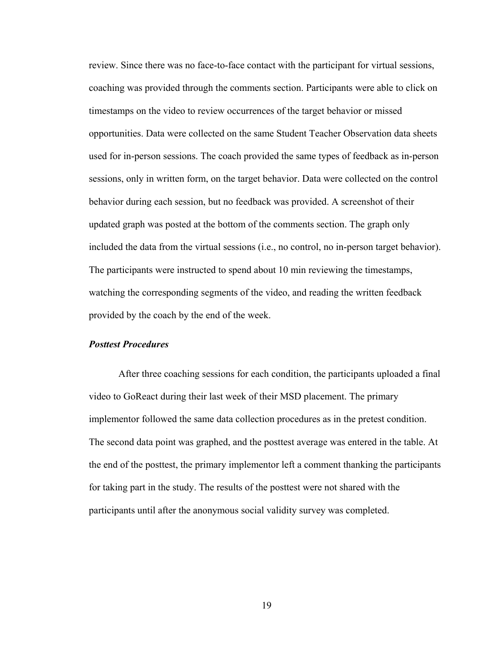review. Since there was no face-to-face contact with the participant for virtual sessions, coaching was provided through the comments section. Participants were able to click on timestamps on the video to review occurrences of the target behavior or missed opportunities. Data were collected on the same Student Teacher Observation data sheets used for in-person sessions. The coach provided the same types of feedback as in-person sessions, only in written form, on the target behavior. Data were collected on the control behavior during each session, but no feedback was provided. A screenshot of their updated graph was posted at the bottom of the comments section. The graph only included the data from the virtual sessions (i.e., no control, no in-person target behavior). The participants were instructed to spend about 10 min reviewing the timestamps, watching the corresponding segments of the video, and reading the written feedback provided by the coach by the end of the week.

#### *Posttest Procedures*

After three coaching sessions for each condition, the participants uploaded a final video to GoReact during their last week of their MSD placement. The primary implementor followed the same data collection procedures as in the pretest condition. The second data point was graphed, and the posttest average was entered in the table. At the end of the posttest, the primary implementor left a comment thanking the participants for taking part in the study. The results of the posttest were not shared with the participants until after the anonymous social validity survey was completed.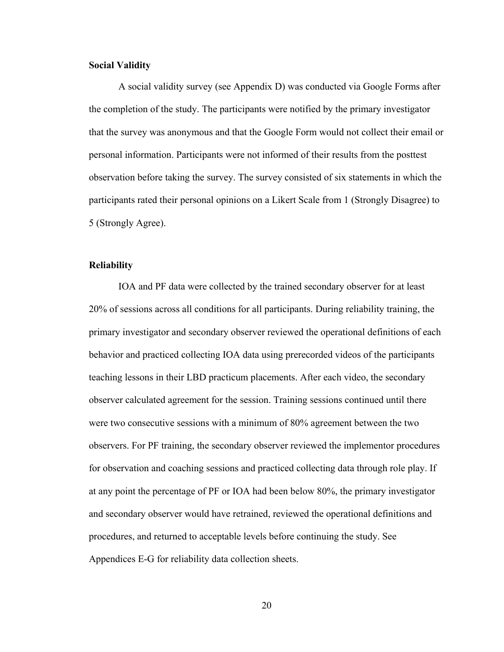#### <span id="page-28-0"></span>**Social Validity**

A social validity survey (see Appendix D) was conducted via Google Forms after the completion of the study. The participants were notified by the primary investigator that the survey was anonymous and that the Google Form would not collect their email or personal information. Participants were not informed of their results from the posttest observation before taking the survey. The survey consisted of six statements in which the participants rated their personal opinions on a Likert Scale from 1 (Strongly Disagree) to 5 (Strongly Agree).

#### <span id="page-28-1"></span>**Reliability**

IOA and PF data were collected by the trained secondary observer for at least 20% of sessions across all conditions for all participants. During reliability training, the primary investigator and secondary observer reviewed the operational definitions of each behavior and practiced collecting IOA data using prerecorded videos of the participants teaching lessons in their LBD practicum placements. After each video, the secondary observer calculated agreement for the session. Training sessions continued until there were two consecutive sessions with a minimum of 80% agreement between the two observers. For PF training, the secondary observer reviewed the implementor procedures for observation and coaching sessions and practiced collecting data through role play. If at any point the percentage of PF or IOA had been below 80%, the primary investigator and secondary observer would have retrained, reviewed the operational definitions and procedures, and returned to acceptable levels before continuing the study. See Appendices E-G for reliability data collection sheets.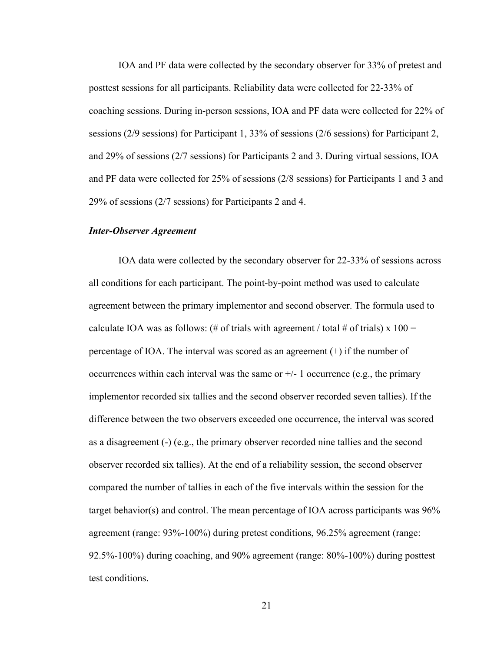IOA and PF data were collected by the secondary observer for 33% of pretest and posttest sessions for all participants. Reliability data were collected for 22-33% of coaching sessions. During in-person sessions, IOA and PF data were collected for 22% of sessions (2/9 sessions) for Participant 1, 33% of sessions (2/6 sessions) for Participant 2, and 29% of sessions (2/7 sessions) for Participants 2 and 3. During virtual sessions, IOA and PF data were collected for 25% of sessions (2/8 sessions) for Participants 1 and 3 and 29% of sessions (2/7 sessions) for Participants 2 and 4.

#### *Inter-Observer Agreement*

IOA data were collected by the secondary observer for 22-33% of sessions across all conditions for each participant. The point-by-point method was used to calculate agreement between the primary implementor and second observer. The formula used to calculate IOA was as follows: (# of trials with agreement / total # of trials) x  $100 =$ percentage of IOA. The interval was scored as an agreement (+) if the number of occurrences within each interval was the same or  $+/-1$  occurrence (e.g., the primary implementor recorded six tallies and the second observer recorded seven tallies). If the difference between the two observers exceeded one occurrence, the interval was scored as a disagreement (-) (e.g., the primary observer recorded nine tallies and the second observer recorded six tallies). At the end of a reliability session, the second observer compared the number of tallies in each of the five intervals within the session for the target behavior(s) and control. The mean percentage of IOA across participants was  $96\%$ agreement (range: 93%-100%) during pretest conditions, 96.25% agreement (range: 92.5%-100%) during coaching, and 90% agreement (range: 80%-100%) during posttest test conditions.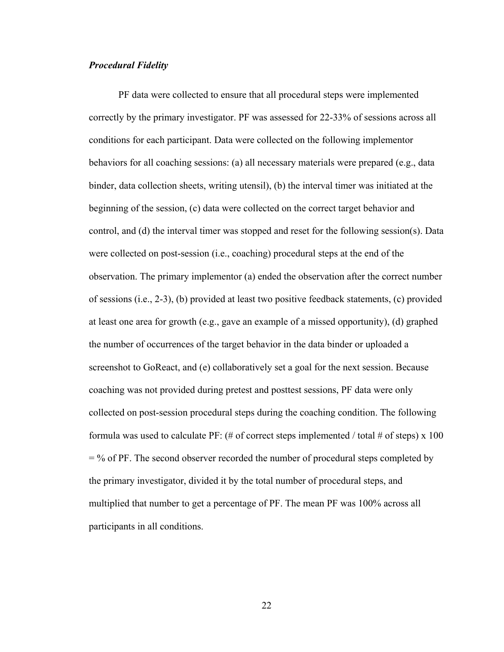#### *Procedural Fidelity*

PF data were collected to ensure that all procedural steps were implemented correctly by the primary investigator. PF was assessed for 22-33% of sessions across all conditions for each participant. Data were collected on the following implementor behaviors for all coaching sessions: (a) all necessary materials were prepared (e.g., data binder, data collection sheets, writing utensil), (b) the interval timer was initiated at the beginning of the session, (c) data were collected on the correct target behavior and control, and (d) the interval timer was stopped and reset for the following session(s). Data were collected on post-session (i.e., coaching) procedural steps at the end of the observation. The primary implementor (a) ended the observation after the correct number of sessions (i.e., 2-3), (b) provided at least two positive feedback statements, (c) provided at least one area for growth (e.g., gave an example of a missed opportunity), (d) graphed the number of occurrences of the target behavior in the data binder or uploaded a screenshot to GoReact, and (e) collaboratively set a goal for the next session. Because coaching was not provided during pretest and posttest sessions, PF data were only collected on post-session procedural steps during the coaching condition. The following formula was used to calculate PF:  $(\# \text{ of correct steps implemented } / \text{ total } \# \text{ of steps}) \times 100$  $=$  % of PF. The second observer recorded the number of procedural steps completed by the primary investigator, divided it by the total number of procedural steps, and multiplied that number to get a percentage of PF. The mean PF was 100% across all participants in all conditions.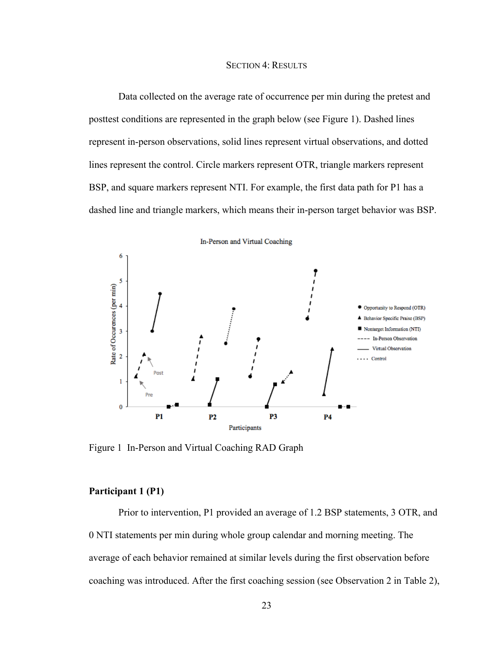#### SECTION 4: RESULTS

<span id="page-31-0"></span>Data collected on the average rate of occurrence per min during the pretest and posttest conditions are represented in the graph below (see Figure 1). Dashed lines represent in-person observations, solid lines represent virtual observations, and dotted lines represent the control. Circle markers represent OTR, triangle markers represent BSP, and square markers represent NTI. For example, the first data path for P1 has a dashed line and triangle markers, which means their in-person target behavior was BSP.



<span id="page-31-1"></span>Figure 1 In-Person and Virtual Coaching RAD Graph

### **Participant 1 (P1)**

Prior to intervention, P1 provided an average of 1.2 BSP statements, 3 OTR, and 0 NTI statements per min during whole group calendar and morning meeting. The average of each behavior remained at similar levels during the first observation before coaching was introduced. After the first coaching session (see Observation 2 in Table 2),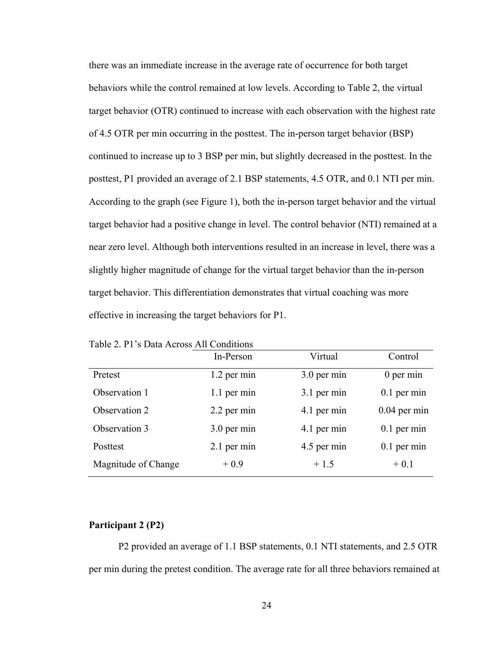there was an immediate increase in the average rate of occurrence for both target behaviors while the control remained at low levels. According to Table 2, the virtual target behavior (OTR) continued to increase with each observation with the highest rate of 4.5 OTR per min occurring in the posttest. The in-person target behavior (BSP) continued to increase up to 3 BSP per min, but slightly decreased in the posttest. In the posttest, P1 provided an average of 2.1 BSP statements, 4.5 OTR, and 0.1 NTI per min. According to the graph (see Figure 1), both the in-person target behavior and the virtual target behavior had a positive change in level. The control behavior (NTI) remained at a near zero level. Although both interventions resulted in an increase in level, there was a slightly higher magnitude of change for the virtual target behavior than the in-person target behavior. This differentiation demonstrates that virtual coaching was more effective in increasing the target behaviors for P1.

|                     | In-Person     | Virtual     | Control        |
|---------------------|---------------|-------------|----------------|
| Pretest             | 1.2 per min   | 3.0 per min | $0$ per min    |
| Observation 1       | $1.1$ per min | 3.1 per min | $0.1$ per min  |
| Observation 2       | 2.2 per min   | 4.1 per min | $0.04$ per min |
| Observation 3       | 3.0 per min   | 4.1 per min | $0.1$ per min  |
| Posttest            | 2.1 per min   | 4.5 per min | $0.1$ per min  |
| Magnitude of Change | $+0.9$        | $+1.5$      | $+0.1$         |

Table 2. P1's Data Across All Conditions

### <span id="page-32-0"></span>**Participant 2 (P2)**

P2 provided an average of 1.1 BSP statements, 0.1 NTI statements, and 2.5 OTR per min during the pretest condition. The average rate for all three behaviors remained at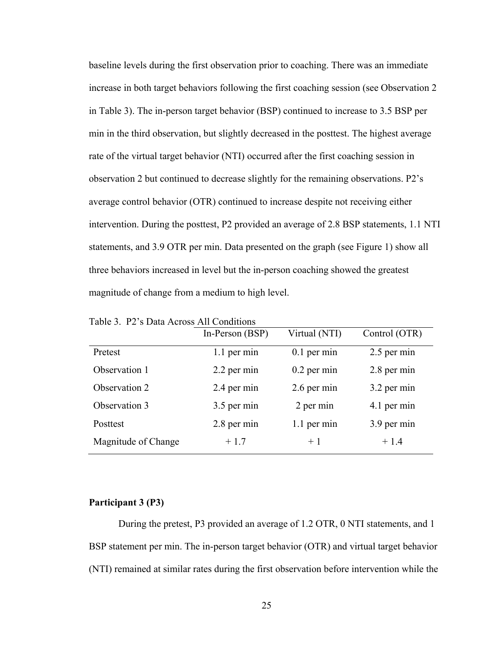baseline levels during the first observation prior to coaching. There was an immediate increase in both target behaviors following the first coaching session (see Observation 2 in Table 3). The in-person target behavior (BSP) continued to increase to 3.5 BSP per min in the third observation, but slightly decreased in the posttest. The highest average rate of the virtual target behavior (NTI) occurred after the first coaching session in observation 2 but continued to decrease slightly for the remaining observations. P2's average control behavior (OTR) continued to increase despite not receiving either intervention. During the posttest, P2 provided an average of 2.8 BSP statements, 1.1 NTI statements, and 3.9 OTR per min. Data presented on the graph (see Figure 1) show all three behaviors increased in level but the in-person coaching showed the greatest magnitude of change from a medium to high level.

|                     | In-Person (BSP) | Virtual (NTI) | Control (OTR) |
|---------------------|-----------------|---------------|---------------|
| Pretest             | 1.1 per min     | $0.1$ per min | 2.5 per min   |
| Observation 1       | 2.2 per min     | $0.2$ per min | 2.8 per min   |
| Observation 2       | 2.4 per min     | 2.6 per min   | 3.2 per min   |
| Observation 3       | 3.5 per min     | 2 per min     | 4.1 per min   |
| Posttest            | 2.8 per min     | 1.1 per min   | 3.9 per min   |
| Magnitude of Change | $+1.7$          | $+1$          | $+1.4$        |

Table 3. P2's Data Across All Conditions

### <span id="page-33-0"></span>**Participant 3 (P3)**

During the pretest, P3 provided an average of 1.2 OTR, 0 NTI statements, and 1 BSP statement per min. The in-person target behavior (OTR) and virtual target behavior (NTI) remained at similar rates during the first observation before intervention while the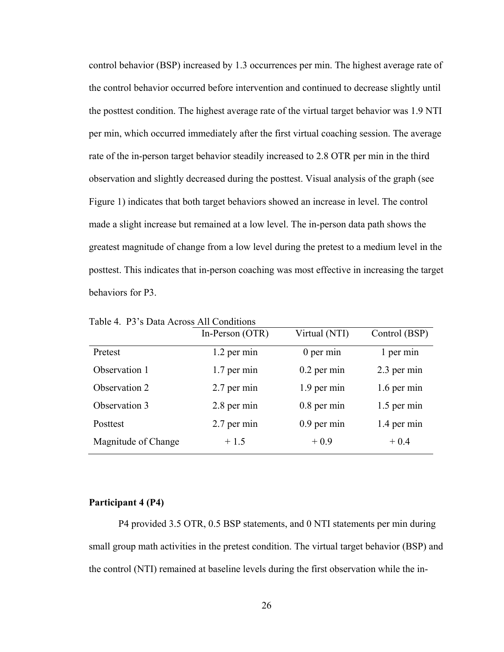control behavior (BSP) increased by 1.3 occurrences per min. The highest average rate of the control behavior occurred before intervention and continued to decrease slightly until the posttest condition. The highest average rate of the virtual target behavior was 1.9 NTI per min, which occurred immediately after the first virtual coaching session. The average rate of the in-person target behavior steadily increased to 2.8 OTR per min in the third observation and slightly decreased during the posttest. Visual analysis of the graph (see Figure 1) indicates that both target behaviors showed an increase in level. The control made a slight increase but remained at a low level. The in-person data path shows the greatest magnitude of change from a low level during the pretest to a medium level in the posttest. This indicates that in-person coaching was most effective in increasing the target behaviors for P3.

|                     | In-Person (OTR) | Virtual (NTI) | Control (BSP) |
|---------------------|-----------------|---------------|---------------|
| Pretest             | 1.2 per min     | $0$ per min   | 1 per min     |
| Observation 1       | $1.7$ per min   | $0.2$ per min | 2.3 per min   |
| Observation 2       | 2.7 per min     | 1.9 per min   | 1.6 per min   |
| Observation 3       | 2.8 per min     | $0.8$ per min | $1.5$ per min |
| Posttest            | 2.7 per min     | $0.9$ per min | 1.4 per min   |
| Magnitude of Change | $+1.5$          | $+0.9$        | $+0.4$        |

Table 4. P3's Data Across All Conditions

#### <span id="page-34-0"></span>**Participant 4 (P4)**

P4 provided 3.5 OTR, 0.5 BSP statements, and 0 NTI statements per min during small group math activities in the pretest condition. The virtual target behavior (BSP) and the control (NTI) remained at baseline levels during the first observation while the in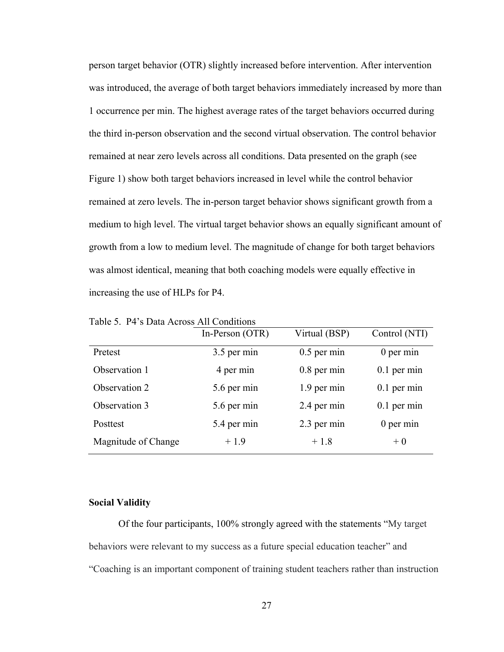person target behavior (OTR) slightly increased before intervention. After intervention was introduced, the average of both target behaviors immediately increased by more than 1 occurrence per min. The highest average rates of the target behaviors occurred during the third in-person observation and the second virtual observation. The control behavior remained at near zero levels across all conditions. Data presented on the graph (see Figure 1) show both target behaviors increased in level while the control behavior remained at zero levels. The in-person target behavior shows significant growth from a medium to high level. The virtual target behavior shows an equally significant amount of growth from a low to medium level. The magnitude of change for both target behaviors was almost identical, meaning that both coaching models were equally effective in increasing the use of HLPs for P4.

|                     | In-Person (OTR) | Virtual (BSP) | Control (NTI) |
|---------------------|-----------------|---------------|---------------|
| Pretest             | 3.5 per min     | $0.5$ per min | $0$ per min   |
| Observation 1       | 4 per min       | $0.8$ per min | $0.1$ per min |
| Observation 2       | 5.6 per min     | 1.9 per min   | $0.1$ per min |
| Observation 3       | 5.6 per min     | 2.4 per min   | $0.1$ per min |
| Posttest            | 5.4 per min     | 2.3 per min   | $0$ per min   |
| Magnitude of Change | $+1.9$          | $+1.8$        | $+0$          |

Table 5. P4's Data Across All Conditions

#### <span id="page-35-0"></span>**Social Validity**

Of the four participants, 100% strongly agreed with the statements "My target behaviors were relevant to my success as a future special education teacher" and "Coaching is an important component of training student teachers rather than instruction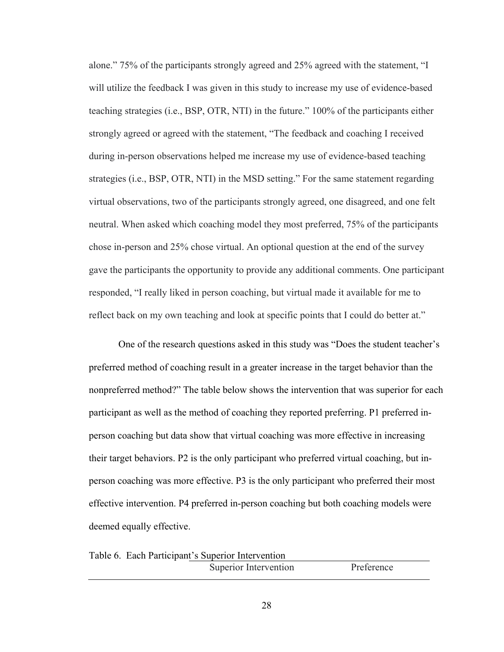alone." 75% of the participants strongly agreed and 25% agreed with the statement, "I will utilize the feedback I was given in this study to increase my use of evidence-based teaching strategies (i.e., BSP, OTR, NTI) in the future." 100% of the participants either strongly agreed or agreed with the statement, "The feedback and coaching I received during in-person observations helped me increase my use of evidence-based teaching strategies (i.e., BSP, OTR, NTI) in the MSD setting." For the same statement regarding virtual observations, two of the participants strongly agreed, one disagreed, and one felt neutral. When asked which coaching model they most preferred, 75% of the participants chose in-person and 25% chose virtual. An optional question at the end of the survey gave the participants the opportunity to provide any additional comments. One participant responded, "I really liked in person coaching, but virtual made it available for me to reflect back on my own teaching and look at specific points that I could do better at."

One of the research questions asked in this study was "Does the student teacher's preferred method of coaching result in a greater increase in the target behavior than the nonpreferred method?" The table below shows the intervention that was superior for each participant as well as the method of coaching they reported preferring. P1 preferred inperson coaching but data show that virtual coaching was more effective in increasing their target behaviors. P2 is the only participant who preferred virtual coaching, but inperson coaching was more effective. P3 is the only participant who preferred their most effective intervention. P4 preferred in-person coaching but both coaching models were deemed equally effective.

| Table 6. Each Participant's Superior Intervention |                       |            |
|---------------------------------------------------|-----------------------|------------|
|                                                   | Superior Intervention | Preference |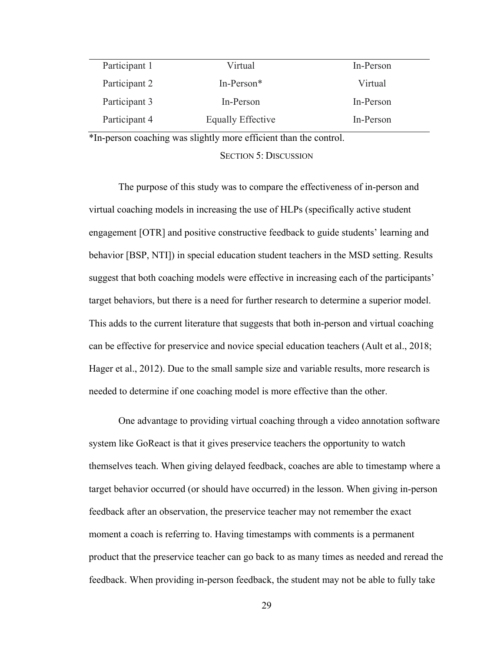| Participant 1 | Virtual           | In-Person |
|---------------|-------------------|-----------|
| Participant 2 | $In-Person*$      | Virtual   |
| Participant 3 | In-Person         | In-Person |
| Participant 4 | Equally Effective | In-Person |

<span id="page-37-0"></span>\*In-person coaching was slightly more efficient than the control.

#### SECTION 5: DISCUSSION

The purpose of this study was to compare the effectiveness of in-person and virtual coaching models in increasing the use of HLPs (specifically active student engagement [OTR] and positive constructive feedback to guide students' learning and behavior [BSP, NTI]) in special education student teachers in the MSD setting. Results suggest that both coaching models were effective in increasing each of the participants' target behaviors, but there is a need for further research to determine a superior model. This adds to the current literature that suggests that both in-person and virtual coaching can be effective for preservice and novice special education teachers (Ault et al., 2018; Hager et al., 2012). Due to the small sample size and variable results, more research is needed to determine if one coaching model is more effective than the other.

One advantage to providing virtual coaching through a video annotation software system like GoReact is that it gives preservice teachers the opportunity to watch themselves teach. When giving delayed feedback, coaches are able to timestamp where a target behavior occurred (or should have occurred) in the lesson. When giving in-person feedback after an observation, the preservice teacher may not remember the exact moment a coach is referring to. Having timestamps with comments is a permanent product that the preservice teacher can go back to as many times as needed and reread the feedback. When providing in-person feedback, the student may not be able to fully take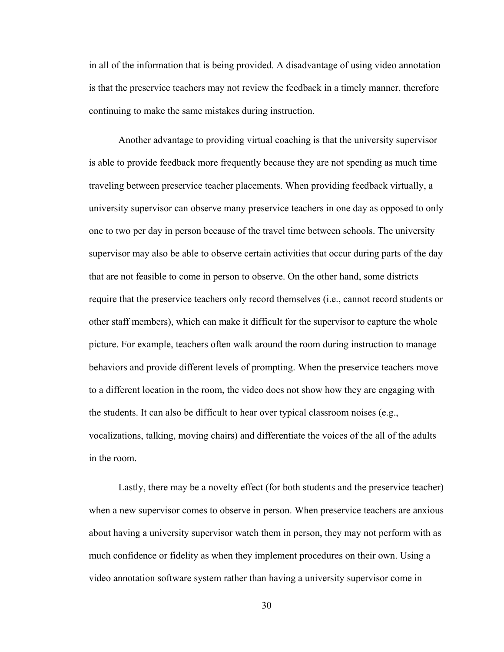in all of the information that is being provided. A disadvantage of using video annotation is that the preservice teachers may not review the feedback in a timely manner, therefore continuing to make the same mistakes during instruction.

Another advantage to providing virtual coaching is that the university supervisor is able to provide feedback more frequently because they are not spending as much time traveling between preservice teacher placements. When providing feedback virtually, a university supervisor can observe many preservice teachers in one day as opposed to only one to two per day in person because of the travel time between schools. The university supervisor may also be able to observe certain activities that occur during parts of the day that are not feasible to come in person to observe. On the other hand, some districts require that the preservice teachers only record themselves (i.e., cannot record students or other staff members), which can make it difficult for the supervisor to capture the whole picture. For example, teachers often walk around the room during instruction to manage behaviors and provide different levels of prompting. When the preservice teachers move to a different location in the room, the video does not show how they are engaging with the students. It can also be difficult to hear over typical classroom noises (e.g., vocalizations, talking, moving chairs) and differentiate the voices of the all of the adults in the room.

Lastly, there may be a novelty effect (for both students and the preservice teacher) when a new supervisor comes to observe in person. When preservice teachers are anxious about having a university supervisor watch them in person, they may not perform with as much confidence or fidelity as when they implement procedures on their own. Using a video annotation software system rather than having a university supervisor come in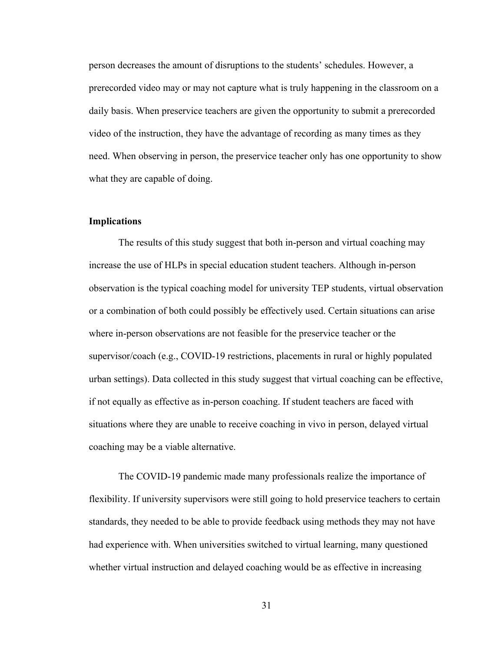person decreases the amount of disruptions to the students' schedules. However, a prerecorded video may or may not capture what is truly happening in the classroom on a daily basis. When preservice teachers are given the opportunity to submit a prerecorded video of the instruction, they have the advantage of recording as many times as they need. When observing in person, the preservice teacher only has one opportunity to show what they are capable of doing.

#### <span id="page-39-0"></span>**Implications**

The results of this study suggest that both in-person and virtual coaching may increase the use of HLPs in special education student teachers. Although in-person observation is the typical coaching model for university TEP students, virtual observation or a combination of both could possibly be effectively used. Certain situations can arise where in-person observations are not feasible for the preservice teacher or the supervisor/coach (e.g., COVID-19 restrictions, placements in rural or highly populated urban settings). Data collected in this study suggest that virtual coaching can be effective, if not equally as effective as in-person coaching. If student teachers are faced with situations where they are unable to receive coaching in vivo in person, delayed virtual coaching may be a viable alternative.

The COVID-19 pandemic made many professionals realize the importance of flexibility. If university supervisors were still going to hold preservice teachers to certain standards, they needed to be able to provide feedback using methods they may not have had experience with. When universities switched to virtual learning, many questioned whether virtual instruction and delayed coaching would be as effective in increasing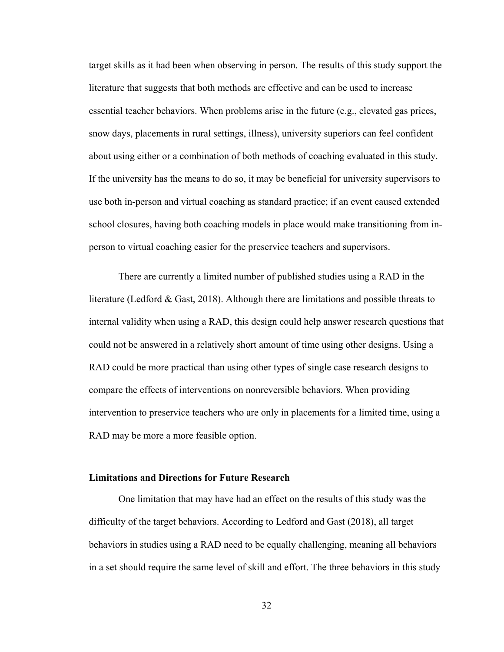target skills as it had been when observing in person. The results of this study support the literature that suggests that both methods are effective and can be used to increase essential teacher behaviors. When problems arise in the future (e.g., elevated gas prices, snow days, placements in rural settings, illness), university superiors can feel confident about using either or a combination of both methods of coaching evaluated in this study. If the university has the means to do so, it may be beneficial for university supervisors to use both in-person and virtual coaching as standard practice; if an event caused extended school closures, having both coaching models in place would make transitioning from inperson to virtual coaching easier for the preservice teachers and supervisors.

There are currently a limited number of published studies using a RAD in the literature (Ledford & Gast, 2018). Although there are limitations and possible threats to internal validity when using a RAD, this design could help answer research questions that could not be answered in a relatively short amount of time using other designs. Using a RAD could be more practical than using other types of single case research designs to compare the effects of interventions on nonreversible behaviors. When providing intervention to preservice teachers who are only in placements for a limited time, using a RAD may be more a more feasible option.

#### <span id="page-40-0"></span>**Limitations and Directions for Future Research**

One limitation that may have had an effect on the results of this study was the difficulty of the target behaviors. According to Ledford and Gast (2018), all target behaviors in studies using a RAD need to be equally challenging, meaning all behaviors in a set should require the same level of skill and effort. The three behaviors in this study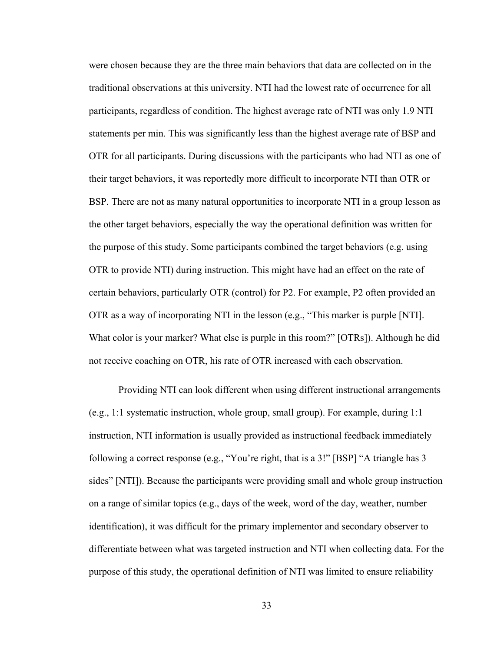were chosen because they are the three main behaviors that data are collected on in the traditional observations at this university. NTI had the lowest rate of occurrence for all participants, regardless of condition. The highest average rate of NTI was only 1.9 NTI statements per min. This was significantly less than the highest average rate of BSP and OTR for all participants. During discussions with the participants who had NTI as one of their target behaviors, it was reportedly more difficult to incorporate NTI than OTR or BSP. There are not as many natural opportunities to incorporate NTI in a group lesson as the other target behaviors, especially the way the operational definition was written for the purpose of this study. Some participants combined the target behaviors (e.g. using OTR to provide NTI) during instruction. This might have had an effect on the rate of certain behaviors, particularly OTR (control) for P2. For example, P2 often provided an OTR as a way of incorporating NTI in the lesson (e.g., "This marker is purple [NTI]. What color is your marker? What else is purple in this room?" [OTRs]). Although he did not receive coaching on OTR, his rate of OTR increased with each observation.

Providing NTI can look different when using different instructional arrangements (e.g., 1:1 systematic instruction, whole group, small group). For example, during 1:1 instruction, NTI information is usually provided as instructional feedback immediately following a correct response (e.g., "You're right, that is a 3!" [BSP] "A triangle has 3 sides" [NTI]). Because the participants were providing small and whole group instruction on a range of similar topics (e.g., days of the week, word of the day, weather, number identification), it was difficult for the primary implementor and secondary observer to differentiate between what was targeted instruction and NTI when collecting data. For the purpose of this study, the operational definition of NTI was limited to ensure reliability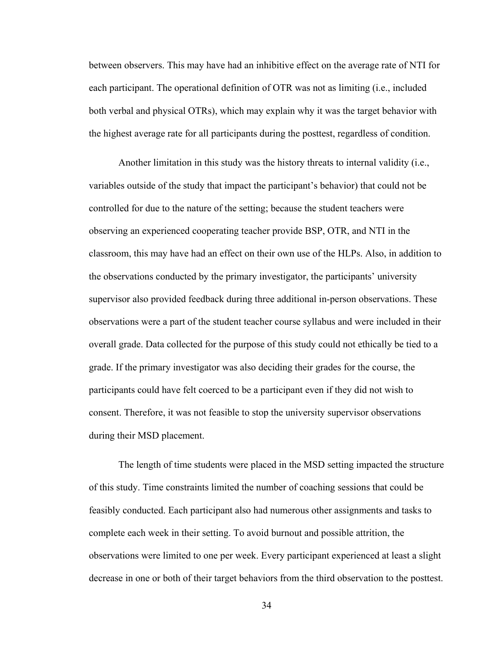between observers. This may have had an inhibitive effect on the average rate of NTI for each participant. The operational definition of OTR was not as limiting (i.e., included both verbal and physical OTRs), which may explain why it was the target behavior with the highest average rate for all participants during the posttest, regardless of condition.

Another limitation in this study was the history threats to internal validity (i.e., variables outside of the study that impact the participant's behavior) that could not be controlled for due to the nature of the setting; because the student teachers were observing an experienced cooperating teacher provide BSP, OTR, and NTI in the classroom, this may have had an effect on their own use of the HLPs. Also, in addition to the observations conducted by the primary investigator, the participants' university supervisor also provided feedback during three additional in-person observations. These observations were a part of the student teacher course syllabus and were included in their overall grade. Data collected for the purpose of this study could not ethically be tied to a grade. If the primary investigator was also deciding their grades for the course, the participants could have felt coerced to be a participant even if they did not wish to consent. Therefore, it was not feasible to stop the university supervisor observations during their MSD placement.

The length of time students were placed in the MSD setting impacted the structure of this study. Time constraints limited the number of coaching sessions that could be feasibly conducted. Each participant also had numerous other assignments and tasks to complete each week in their setting. To avoid burnout and possible attrition, the observations were limited to one per week. Every participant experienced at least a slight decrease in one or both of their target behaviors from the third observation to the posttest.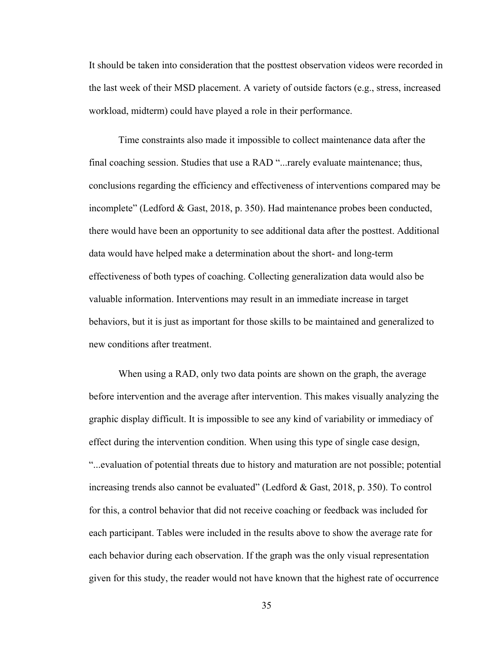It should be taken into consideration that the posttest observation videos were recorded in the last week of their MSD placement. A variety of outside factors (e.g., stress, increased workload, midterm) could have played a role in their performance.

Time constraints also made it impossible to collect maintenance data after the final coaching session. Studies that use a RAD "...rarely evaluate maintenance; thus, conclusions regarding the efficiency and effectiveness of interventions compared may be incomplete" (Ledford & Gast, 2018, p. 350). Had maintenance probes been conducted, there would have been an opportunity to see additional data after the posttest. Additional data would have helped make a determination about the short- and long-term effectiveness of both types of coaching. Collecting generalization data would also be valuable information. Interventions may result in an immediate increase in target behaviors, but it is just as important for those skills to be maintained and generalized to new conditions after treatment.

When using a RAD, only two data points are shown on the graph, the average before intervention and the average after intervention. This makes visually analyzing the graphic display difficult. It is impossible to see any kind of variability or immediacy of effect during the intervention condition. When using this type of single case design, "...evaluation of potential threats due to history and maturation are not possible; potential increasing trends also cannot be evaluated" (Ledford & Gast, 2018, p. 350). To control for this, a control behavior that did not receive coaching or feedback was included for each participant. Tables were included in the results above to show the average rate for each behavior during each observation. If the graph was the only visual representation given for this study, the reader would not have known that the highest rate of occurrence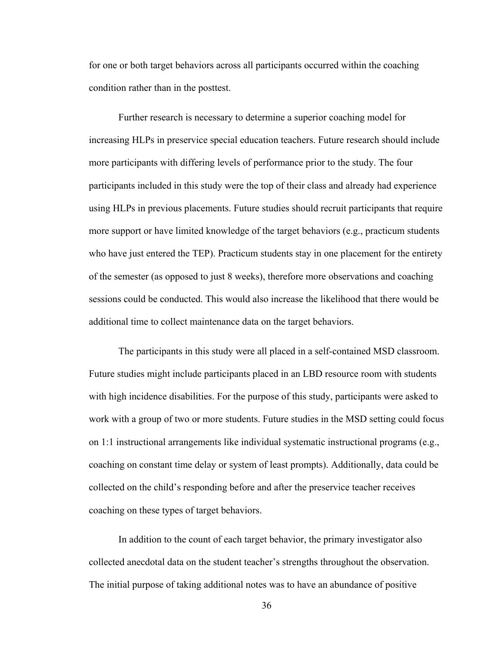for one or both target behaviors across all participants occurred within the coaching condition rather than in the posttest.

Further research is necessary to determine a superior coaching model for increasing HLPs in preservice special education teachers. Future research should include more participants with differing levels of performance prior to the study. The four participants included in this study were the top of their class and already had experience using HLPs in previous placements. Future studies should recruit participants that require more support or have limited knowledge of the target behaviors (e.g., practicum students who have just entered the TEP). Practicum students stay in one placement for the entirety of the semester (as opposed to just 8 weeks), therefore more observations and coaching sessions could be conducted. This would also increase the likelihood that there would be additional time to collect maintenance data on the target behaviors.

The participants in this study were all placed in a self-contained MSD classroom. Future studies might include participants placed in an LBD resource room with students with high incidence disabilities. For the purpose of this study, participants were asked to work with a group of two or more students. Future studies in the MSD setting could focus on 1:1 instructional arrangements like individual systematic instructional programs (e.g., coaching on constant time delay or system of least prompts). Additionally, data could be collected on the child's responding before and after the preservice teacher receives coaching on these types of target behaviors.

In addition to the count of each target behavior, the primary investigator also collected anecdotal data on the student teacher's strengths throughout the observation. The initial purpose of taking additional notes was to have an abundance of positive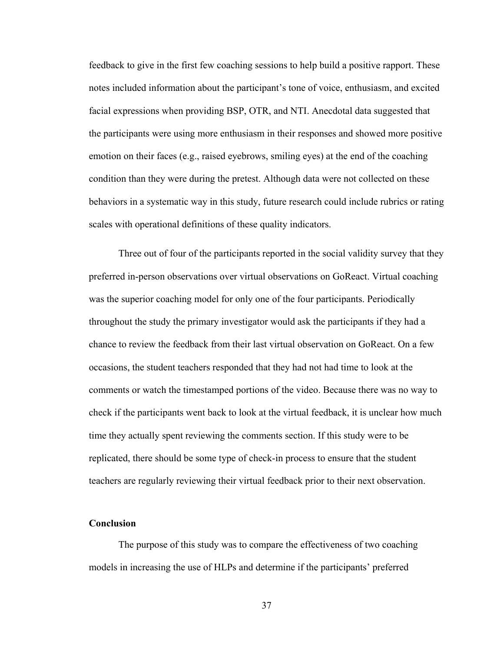feedback to give in the first few coaching sessions to help build a positive rapport. These notes included information about the participant's tone of voice, enthusiasm, and excited facial expressions when providing BSP, OTR, and NTI. Anecdotal data suggested that the participants were using more enthusiasm in their responses and showed more positive emotion on their faces (e.g., raised eyebrows, smiling eyes) at the end of the coaching condition than they were during the pretest. Although data were not collected on these behaviors in a systematic way in this study, future research could include rubrics or rating scales with operational definitions of these quality indicators.

Three out of four of the participants reported in the social validity survey that they preferred in-person observations over virtual observations on GoReact. Virtual coaching was the superior coaching model for only one of the four participants. Periodically throughout the study the primary investigator would ask the participants if they had a chance to review the feedback from their last virtual observation on GoReact. On a few occasions, the student teachers responded that they had not had time to look at the comments or watch the timestamped portions of the video. Because there was no way to check if the participants went back to look at the virtual feedback, it is unclear how much time they actually spent reviewing the comments section. If this study were to be replicated, there should be some type of check-in process to ensure that the student teachers are regularly reviewing their virtual feedback prior to their next observation.

#### <span id="page-45-0"></span>**Conclusion**

The purpose of this study was to compare the effectiveness of two coaching models in increasing the use of HLPs and determine if the participants' preferred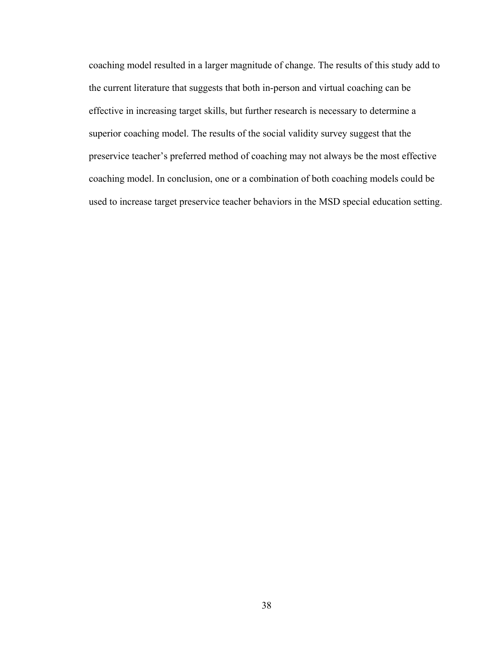coaching model resulted in a larger magnitude of change. The results of this study add to the current literature that suggests that both in-person and virtual coaching can be effective in increasing target skills, but further research is necessary to determine a superior coaching model. The results of the social validity survey suggest that the preservice teacher's preferred method of coaching may not always be the most effective coaching model. In conclusion, one or a combination of both coaching models could be used to increase target preservice teacher behaviors in the MSD special education setting.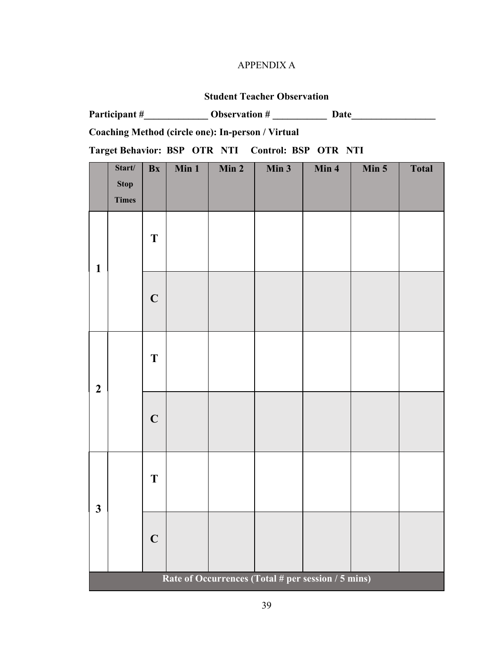# APPENDIX A

# **Student Teacher Observation**

<span id="page-47-0"></span>

|                                                   |                                                    |             |       |       | Observation $#$ | Date  |       |              |
|---------------------------------------------------|----------------------------------------------------|-------------|-------|-------|-----------------|-------|-------|--------------|
|                                                   | Coaching Method (circle one): In-person / Virtual  |             |       |       |                 |       |       |              |
| Target Behavior: BSP OTR NTI Control: BSP OTR NTI |                                                    |             |       |       |                 |       |       |              |
|                                                   | Start/<br><b>Stop</b><br><b>Times</b>              | Bx          | Min 1 | Min 2 | Min 3           | Min 4 | Min 5 | <b>Total</b> |
| $\mathbf{1}$                                      |                                                    | T           |       |       |                 |       |       |              |
|                                                   |                                                    | $\mathbf C$ |       |       |                 |       |       |              |
| $\overline{2}$                                    |                                                    | T           |       |       |                 |       |       |              |
|                                                   |                                                    | $\mathbf C$ |       |       |                 |       |       |              |
| $\overline{\mathbf{3}}$                           |                                                    | T           |       |       |                 |       |       |              |
|                                                   |                                                    | $\mathbf C$ |       |       |                 |       |       |              |
|                                                   | Rate of Occurrences (Total # per session / 5 mins) |             |       |       |                 |       |       |              |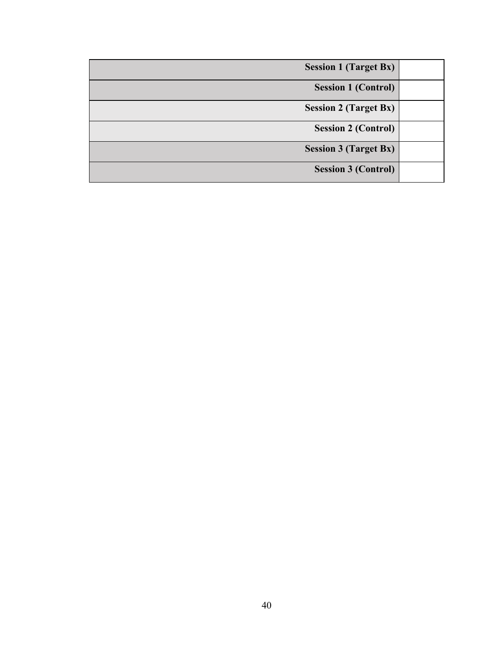| <b>Session 1 (Target Bx)</b> |
|------------------------------|
| <b>Session 1 (Control)</b>   |
| <b>Session 2 (Target Bx)</b> |
| <b>Session 2 (Control)</b>   |
| <b>Session 3 (Target Bx)</b> |
| <b>Session 3 (Control)</b>   |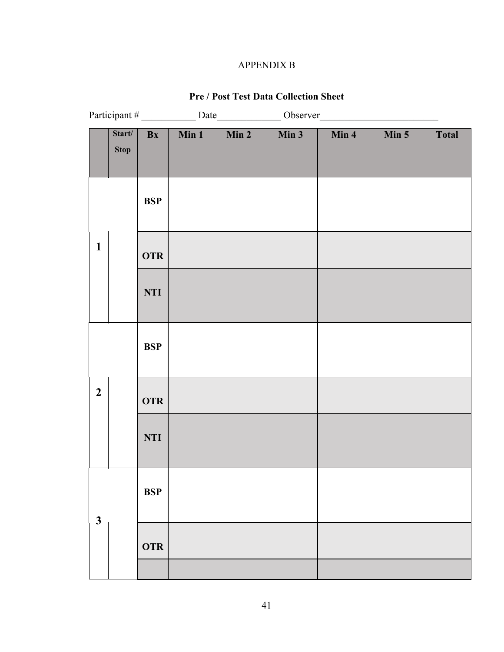# APPENDIX B

# **Pre / Post Test Data Collection Sheet**

<span id="page-49-0"></span>

|                  | Start/<br><b>Stop</b> | Bx         | $\overline{\text{Min }1}$ | Min 2 | $\overline{\text{Min }3}$ | Min 4 | Min 5 | <b>Total</b> |
|------------------|-----------------------|------------|---------------------------|-------|---------------------------|-------|-------|--------------|
|                  |                       | <b>BSP</b> |                           |       |                           |       |       |              |
| $\mathbf{1}$     |                       | <b>OTR</b> |                           |       |                           |       |       |              |
|                  |                       | <b>NTI</b> |                           |       |                           |       |       |              |
|                  |                       | <b>BSP</b> |                           |       |                           |       |       |              |
| $\boldsymbol{2}$ |                       | <b>OTR</b> |                           |       |                           |       |       |              |
|                  |                       | <b>NTI</b> |                           |       |                           |       |       |              |
|                  |                       | <b>BSP</b> |                           |       |                           |       |       |              |
| $\mathbf{3}$     |                       | <b>OTR</b> |                           |       |                           |       |       |              |
|                  |                       |            |                           |       |                           |       |       |              |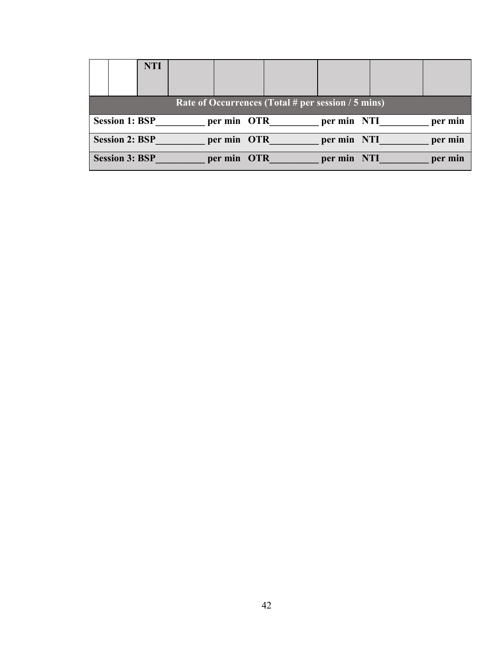|                       | <b>NTI</b> |             |                                                    |             |         |
|-----------------------|------------|-------------|----------------------------------------------------|-------------|---------|
|                       |            |             | Rate of Occurrences (Total # per session / 5 mins) |             |         |
| <b>Session 1: BSP</b> |            | per min OTR |                                                    | per min NTI | per min |
| <b>Session 2: BSP</b> |            | per min OTR |                                                    | per min NTI | per min |
| <b>Session 3: BSP</b> |            | per min OTR |                                                    | per min NTI | per min |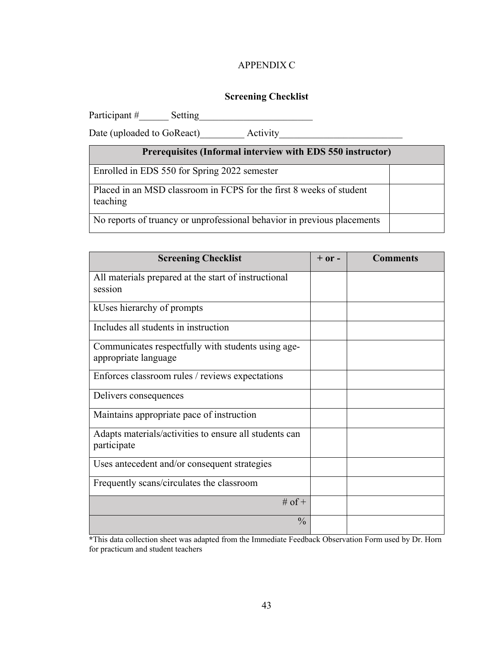## APPENDIX C

### **Screening Checklist**

<span id="page-51-0"></span>Participant #\_\_\_\_\_\_ Setting\_\_\_\_\_\_\_\_\_\_\_\_\_\_\_\_\_\_\_\_\_\_\_

Date (uploaded to GoReact)\_\_\_\_\_\_\_\_\_ Activity\_\_\_\_\_\_\_\_\_\_\_\_\_\_\_\_\_\_\_\_\_\_\_\_\_

| Prerequisites (Informal interview with EDS 550 instructor)                      |  |
|---------------------------------------------------------------------------------|--|
| Enrolled in EDS 550 for Spring 2022 semester                                    |  |
| Placed in an MSD classroom in FCPS for the first 8 weeks of student<br>teaching |  |
| No reports of truancy or unprofessional behavior in previous placements         |  |

| <b>Screening Checklist</b>                                            | $+$ or $-$ | <b>Comments</b> |
|-----------------------------------------------------------------------|------------|-----------------|
| All materials prepared at the start of instructional                  |            |                 |
| session                                                               |            |                 |
| kUses hierarchy of prompts                                            |            |                 |
| Includes all students in instruction                                  |            |                 |
| Communicates respectfully with students using age-                    |            |                 |
| appropriate language                                                  |            |                 |
| Enforces classroom rules / reviews expectations                       |            |                 |
| Delivers consequences                                                 |            |                 |
| Maintains appropriate pace of instruction                             |            |                 |
| Adapts materials/activities to ensure all students can<br>participate |            |                 |
| Uses antecedent and/or consequent strategies                          |            |                 |
| Frequently scans/circulates the classroom                             |            |                 |
| # of $+$                                                              |            |                 |
| $\frac{0}{0}$                                                         |            |                 |

**\***This data collection sheet was adapted from the Immediate Feedback Observation Form used by Dr. Horn for practicum and student teachers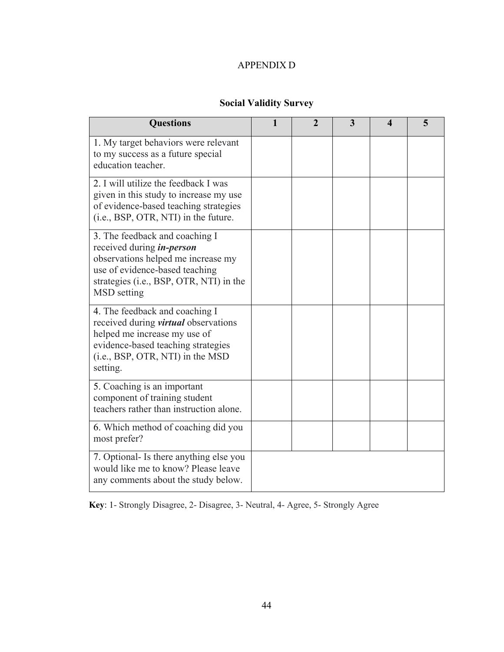# APPENDIX D

# **Social Validity Survey**

<span id="page-52-0"></span>

| <b>Questions</b>                                                                                                                                                                                     | $\overline{2}$ | 3 | 4 | 5 |
|------------------------------------------------------------------------------------------------------------------------------------------------------------------------------------------------------|----------------|---|---|---|
| 1. My target behaviors were relevant<br>to my success as a future special<br>education teacher.                                                                                                      |                |   |   |   |
| 2. I will utilize the feedback I was<br>given in this study to increase my use<br>of evidence-based teaching strategies<br>(i.e., BSP, OTR, NTI) in the future.                                      |                |   |   |   |
| 3. The feedback and coaching I<br>received during <i>in-person</i><br>observations helped me increase my<br>use of evidence-based teaching<br>strategies (i.e., BSP, OTR, NTI) in the<br>MSD setting |                |   |   |   |
| 4. The feedback and coaching I<br>received during <i>virtual</i> observations<br>helped me increase my use of<br>evidence-based teaching strategies<br>(i.e., BSP, OTR, NTI) in the MSD<br>setting.  |                |   |   |   |
| 5. Coaching is an important<br>component of training student<br>teachers rather than instruction alone.                                                                                              |                |   |   |   |
| 6. Which method of coaching did you<br>most prefer?                                                                                                                                                  |                |   |   |   |
| 7. Optional - Is there anything else you<br>would like me to know? Please leave<br>any comments about the study below.                                                                               |                |   |   |   |

**Key**: 1- Strongly Disagree, 2- Disagree, 3- Neutral, 4- Agree, 5- Strongly Agree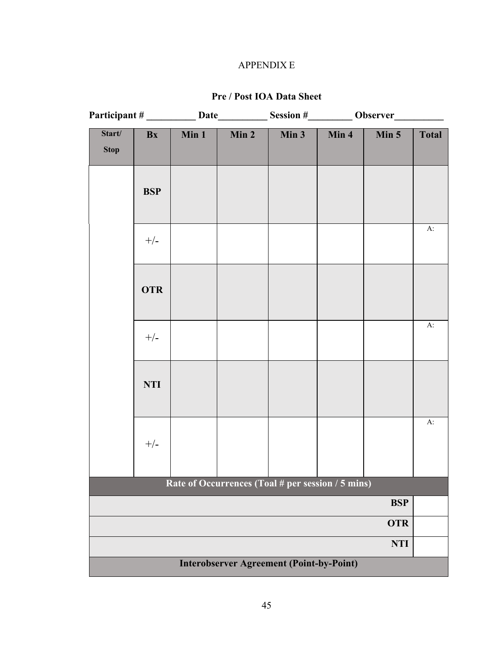# APPENDIX E

# **Pre / Post IOA Data Sheet**

<span id="page-53-0"></span>

|                       |            |       |                                                   | Session #___________ Observer_ |       |            |              |
|-----------------------|------------|-------|---------------------------------------------------|--------------------------------|-------|------------|--------------|
| Start/<br><b>Stop</b> | Bx         | Min 1 | Min 2                                             | Min $3$                        | Min 4 | Min 5      | <b>Total</b> |
|                       | <b>BSP</b> |       |                                                   |                                |       |            |              |
|                       | $+/-$      |       |                                                   |                                |       |            | A:           |
|                       | <b>OTR</b> |       |                                                   |                                |       |            |              |
|                       | $+/-$      |       |                                                   |                                |       |            | $A$ :        |
|                       | <b>NTI</b> |       |                                                   |                                |       |            |              |
|                       | $+/-$      |       |                                                   |                                |       |            | $A$ :        |
|                       |            |       | Rate of Occurrences (Toal # per session / 5 mins) |                                |       |            |              |
|                       |            |       |                                                   |                                |       | <b>BSP</b> |              |
|                       |            |       |                                                   |                                |       | <b>OTR</b> |              |
|                       |            |       |                                                   |                                |       | <b>NTI</b> |              |
|                       |            |       | <b>Interobserver Agreement (Point-by-Point)</b>   |                                |       |            |              |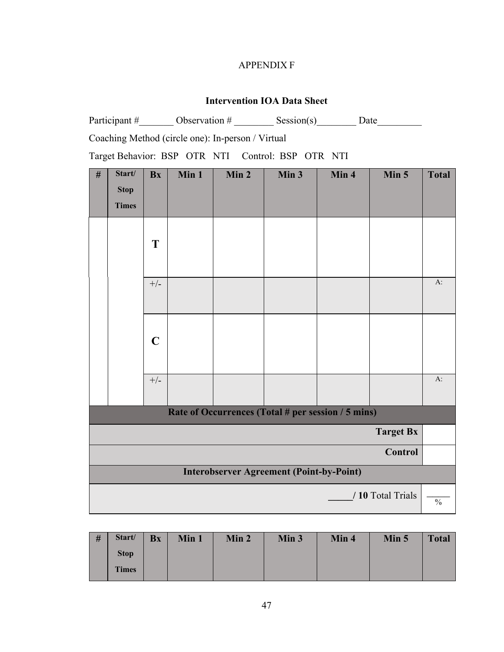# APPENDIX F

# **Intervention IOA Data Sheet**

<span id="page-55-0"></span>

|                                                   |                                       |             |       |                                                   | Participant # Observation # Session(s) Date        |       |                   |               |  |
|---------------------------------------------------|---------------------------------------|-------------|-------|---------------------------------------------------|----------------------------------------------------|-------|-------------------|---------------|--|
|                                                   |                                       |             |       | Coaching Method (circle one): In-person / Virtual |                                                    |       |                   |               |  |
| Target Behavior: BSP OTR NTI Control: BSP OTR NTI |                                       |             |       |                                                   |                                                    |       |                   |               |  |
| $\#$                                              | Start/<br><b>Stop</b><br><b>Times</b> | <b>Bx</b>   | Min 1 | Min 2                                             | Min 3                                              | Min 4 | Min 5             | <b>Total</b>  |  |
|                                                   |                                       | T           |       |                                                   |                                                    |       |                   |               |  |
|                                                   |                                       | $+/-$       |       |                                                   |                                                    |       |                   | A:            |  |
|                                                   |                                       | $\mathbf C$ |       |                                                   |                                                    |       |                   |               |  |
|                                                   |                                       | $+/-$       |       |                                                   |                                                    |       |                   | $A$ :         |  |
|                                                   |                                       |             |       |                                                   | Rate of Occurrences (Total # per session / 5 mins) |       |                   |               |  |
|                                                   |                                       |             |       |                                                   |                                                    |       | <b>Target Bx</b>  |               |  |
|                                                   | <b>Control</b>                        |             |       |                                                   |                                                    |       |                   |               |  |
|                                                   |                                       |             |       |                                                   | <b>Interobserver Agreement (Point-by-Point)</b>    |       |                   |               |  |
|                                                   |                                       |             |       |                                                   |                                                    |       | / 10 Total Trials | $\frac{0}{0}$ |  |

| # | Start/       | <b>Bx</b> | Min 1 | Min 2 | Min 3 | Min 4 | Min 5 | <b>Total</b> |
|---|--------------|-----------|-------|-------|-------|-------|-------|--------------|
|   | <b>Stop</b>  |           |       |       |       |       |       |              |
|   | <b>Times</b> |           |       |       |       |       |       |              |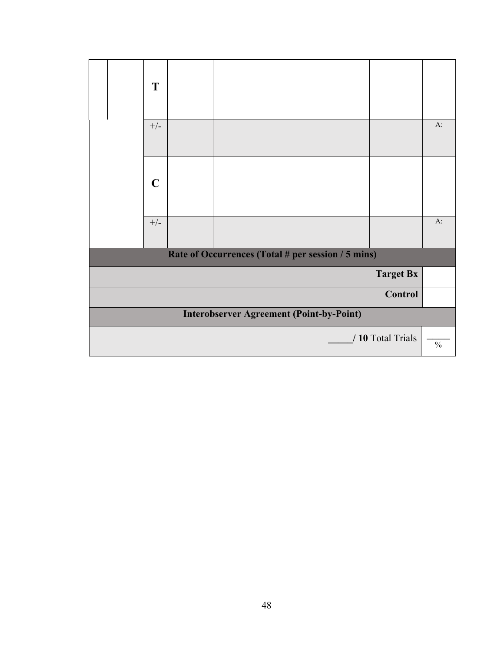|                |                                                 | T           |  |  |                                                    |  |                   |               |  |
|----------------|-------------------------------------------------|-------------|--|--|----------------------------------------------------|--|-------------------|---------------|--|
|                |                                                 | $+/-$       |  |  |                                                    |  |                   | $A$ :         |  |
|                |                                                 | $\mathbf C$ |  |  |                                                    |  |                   |               |  |
|                |                                                 | $+/-$       |  |  |                                                    |  |                   | $A$ :         |  |
|                |                                                 |             |  |  | Rate of Occurrences (Total # per session / 5 mins) |  |                   |               |  |
|                |                                                 |             |  |  |                                                    |  | <b>Target Bx</b>  |               |  |
| <b>Control</b> |                                                 |             |  |  |                                                    |  |                   |               |  |
|                | <b>Interobserver Agreement (Point-by-Point)</b> |             |  |  |                                                    |  |                   |               |  |
|                |                                                 |             |  |  |                                                    |  | / 10 Total Trials | $\frac{0}{0}$ |  |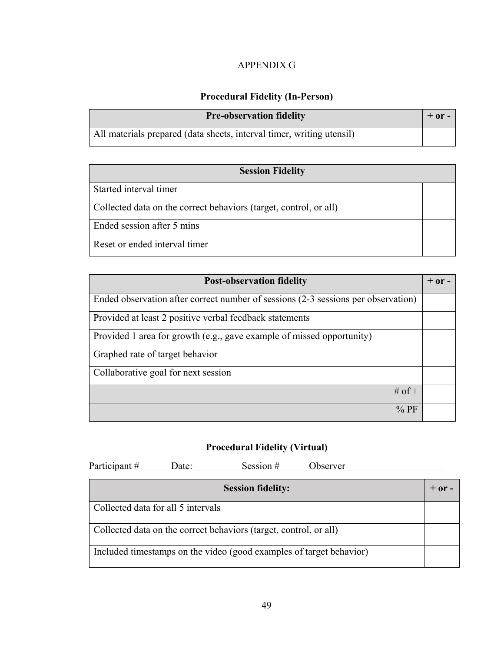# APPENDIX G

# **Procedural Fidelity (In-Person)**

<span id="page-57-0"></span>

| <b>Pre-observation fidelity</b>                                       | $+$ or $-$ |
|-----------------------------------------------------------------------|------------|
| All materials prepared (data sheets, interval timer, writing utensil) |            |

| <b>Session Fidelity</b>                                           |  |
|-------------------------------------------------------------------|--|
| Started interval timer                                            |  |
| Collected data on the correct behaviors (target, control, or all) |  |
| Ended session after 5 mins                                        |  |
| Reset or ended interval timer                                     |  |

| <b>Post-observation fidelity</b>                                                  | $+$ or $-$ |
|-----------------------------------------------------------------------------------|------------|
| Ended observation after correct number of sessions (2-3 sessions per observation) |            |
| Provided at least 2 positive verbal feedback statements                           |            |
| Provided 1 area for growth (e.g., gave example of missed opportunity)             |            |
| Graphed rate of target behavior                                                   |            |
| Collaborative goal for next session                                               |            |
| # of $+$                                                                          |            |
| $\%$ PF                                                                           |            |

# **Procedural Fidelity (Virtual)**

Participant  $\#$  Date: Session  $\#$  Observer

| <b>Session fidelity:</b>                                            |  |
|---------------------------------------------------------------------|--|
| Collected data for all 5 intervals                                  |  |
| Collected data on the correct behaviors (target, control, or all)   |  |
| Included timestamps on the video (good examples of target behavior) |  |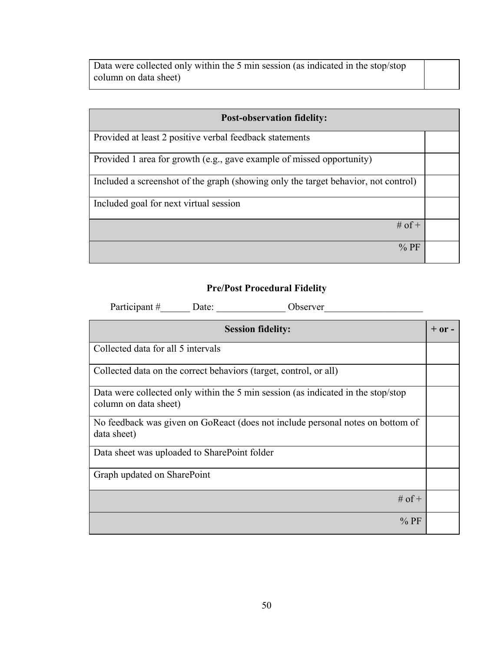Data were collected only within the 5 min session (as indicated in the stop/stop column on data sheet)

| <b>Post-observation fidelity:</b>                                                  |  |
|------------------------------------------------------------------------------------|--|
|                                                                                    |  |
| Provided at least 2 positive verbal feedback statements                            |  |
|                                                                                    |  |
| Provided 1 area for growth (e.g., gave example of missed opportunity)              |  |
|                                                                                    |  |
| Included a screenshot of the graph (showing only the target behavior, not control) |  |
|                                                                                    |  |
| Included goal for next virtual session                                             |  |
|                                                                                    |  |
| # of $+$                                                                           |  |
|                                                                                    |  |
| $%$ PF                                                                             |  |
|                                                                                    |  |

# **Pre/Post Procedural Fidelity**

Participant #\_\_\_\_\_\_\_ Date: \_\_\_\_\_\_\_\_\_\_\_\_\_\_\_ Observer\_\_\_\_\_\_\_\_\_\_\_\_\_\_\_\_\_\_\_\_\_\_\_\_\_\_\_\_\_

| <b>Session fidelity:</b>                                                                                  | $+$ or $-$ |
|-----------------------------------------------------------------------------------------------------------|------------|
| Collected data for all 5 intervals                                                                        |            |
| Collected data on the correct behaviors (target, control, or all)                                         |            |
| Data were collected only within the 5 min session (as indicated in the stop/stop<br>column on data sheet) |            |
| No feedback was given on GoReact (does not include personal notes on bottom of<br>data sheet)             |            |
| Data sheet was uploaded to SharePoint folder                                                              |            |
| Graph updated on SharePoint                                                                               |            |
| # of $+$                                                                                                  |            |
| $%$ PF                                                                                                    |            |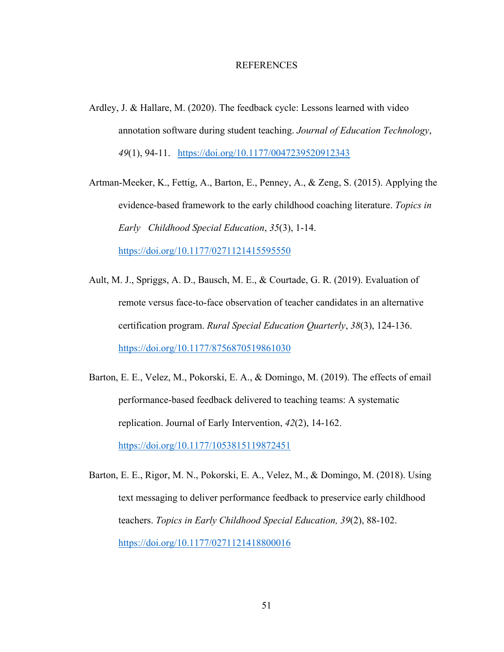#### REFERENCES

<span id="page-59-0"></span>Ardley, J. & Hallare, M. (2020). The feedback cycle: Lessons learned with video annotation software during student teaching. *Journal of Education Technology*, *49*(1), 94-11. <https://doi.org/10.1177/0047239520912343>

Artman-Meeker, K., Fettig, A., Barton, E., Penney, A., & Zeng, S. (2015). Applying the evidence-based framework to the early childhood coaching literature. *Topics in Early Childhood Special Education*, *35*(3), 1-14. <https://doi.org/10.1177/0271121415595550>

- Ault, M. J., Spriggs, A. D., Bausch, M. E., & Courtade, G. R. (2019). Evaluation of remote versus face-to-face observation of teacher candidates in an alternative certification program. *Rural Special Education Quarterly*, *38*(3), 124-136. <https://doi.org/10.1177/8756870519861030>
- Barton, E. E., Velez, M., Pokorski, E. A., & Domingo, M. (2019). The effects of email performance-based feedback delivered to teaching teams: A systematic replication. Journal of Early Intervention, *42*(2), 14-162. <https://doi.org/10.1177/1053815119872451>
- Barton, E. E., Rigor, M. N., Pokorski, E. A., Velez, M., & Domingo, M. (2018). Using text messaging to deliver performance feedback to preservice early childhood teachers. *Topics in Early Childhood Special Education, 39*(2), 88-102. <https://doi.org/10.1177/0271121418800016>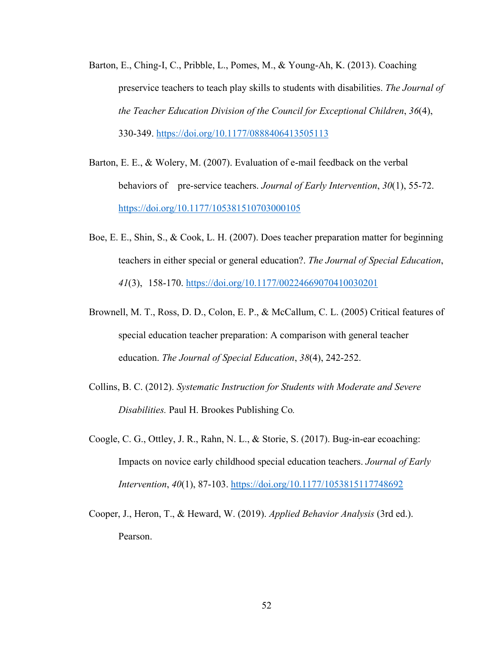- Barton, E., Ching-I, C., Pribble, L., Pomes, M., & Young-Ah, K. (2013). Coaching preservice teachers to teach play skills to students with disabilities. *The Journal of the Teacher Education Division of the Council for Exceptional Children*, *36*(4), 330-349.<https://doi.org/10.1177/0888406413505113>
- Barton, E. E., & Wolery, M. (2007). Evaluation of e-mail feedback on the verbal behaviors of pre-service teachers. *Journal of Early Intervention*, *30*(1), 55-72. <https://doi.org/10.1177/105381510703000105>
- Boe, E. E., Shin, S., & Cook, L. H. (2007). Does teacher preparation matter for beginning teachers in either special or general education?. *The Journal of Special Education*, *41*(3), 158-170. [https://doi.org/10.1177/00224669070410030201](https://doi.org/10.1177%2F00224669070410030201)
- Brownell, M. T., Ross, D. D., Colon, E. P., & McCallum, C. L. (2005) Critical features of special education teacher preparation: A comparison with general teacher education. *The Journal of Special Education*, *38*(4), 242-252.
- Collins, B. C. (2012). *Systematic Instruction for Students with Moderate and Severe Disabilities.* Paul H. Brookes Publishing Co*.*
- Coogle, C. G., Ottley, J. R., Rahn, N. L., & Storie, S. (2017). Bug-in-ear ecoaching: Impacts on novice early childhood special education teachers. *Journal of Early Intervention*, *40*(1), 87-103. [https://doi.org/10.1177/1053815117748692](https://doi.org/10.1177%2F1053815117748692)
- Cooper, J., Heron, T., & Heward, W. (2019). *Applied Behavior Analysis* (3rd ed.). Pearson.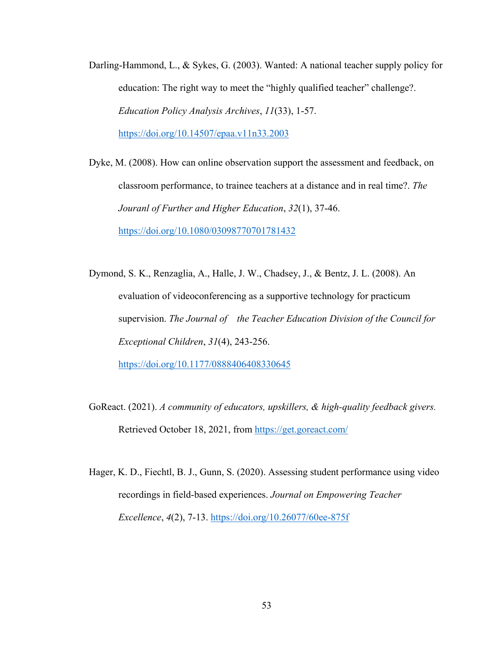- Darling-Hammond, L., & Sykes, G. (2003). Wanted: A national teacher supply policy for education: The right way to meet the "highly qualified teacher" challenge?. *Education Policy Analysis Archives*, *11*(33), 1-57. <https://doi.org/10.14507/epaa.v11n33.2003>
- Dyke, M. (2008). How can online observation support the assessment and feedback, on classroom performance, to trainee teachers at a distance and in real time?. *The Jouranl of Further and Higher Education*, *32*(1), 37-46. <https://doi.org/10.1080/03098770701781432>
- Dymond, S. K., Renzaglia, A., Halle, J. W., Chadsey, J., & Bentz, J. L. (2008). An evaluation of videoconferencing as a supportive technology for practicum supervision. *The Journal of the Teacher Education Division of the Council for Exceptional Children*, *31*(4), 243-256.

<https://doi.org/10.1177/0888406408330645>

- GoReact. (2021). *A community of educators, upskillers, & high-quality feedback givers.* Retrieved October 18, 2021, from<https://get.goreact.com/>
- Hager, K. D., Fiechtl, B. J., Gunn, S. (2020). Assessing student performance using video recordings in field-based experiences. *Journal on Empowering Teacher Excellence*, *4*(2), 7-13.<https://doi.org/10.26077/60ee-875f>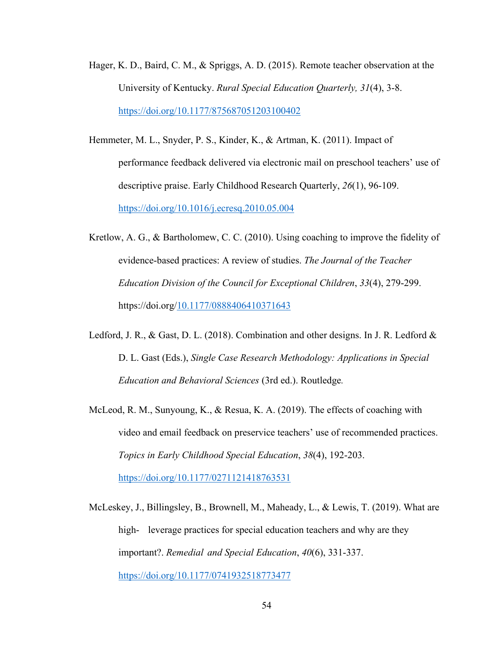- Hager, K. D., Baird, C. M., & Spriggs, A. D. (2015). Remote teacher observation at the University of Kentucky. *Rural Special Education Quarterly, 31*(4), 3-8. <https://doi.org/10.1177/875687051203100402>
- Hemmeter, M. L., Snyder, P. S., Kinder, K., & Artman, K. (2011). Impact of performance feedback delivered via electronic mail on preschool teachers' use of descriptive praise. Early Childhood Research Quarterly, *26*(1), 96-109. <https://doi.org/10.1016/j.ecresq.2010.05.004>
- Kretlow, A. G., & Bartholomew, C. C. (2010). Using coaching to improve the fidelity of evidence-based practices: A review of studies. *The Journal of the Teacher Education Division of the Council for Exceptional Children*, *33*(4), 279-299. https://doi.org[/10.1177/0888406410371643](http://dx.doi.org/10.1177/0888406410371643)
- Ledford, J. R., & Gast, D. L. (2018). Combination and other designs. In J. R. Ledford & D. L. Gast (Eds.), *Single Case Research Methodology: Applications in Special Education and Behavioral Sciences* (3rd ed.). Routledge*.*
- McLeod, R. M., Sunyoung, K., & Resua, K. A. (2019). The effects of coaching with video and email feedback on preservice teachers' use of recommended practices. *Topics in Early Childhood Special Education*, *38*(4), 192-203. <https://doi.org/10.1177/0271121418763531>
- McLeskey, J., Billingsley, B., Brownell, M., Maheady, L., & Lewis, T. (2019). What are
- high- leverage practices for special education teachers and why are they important?. *Remedial and Special Education*, *40*(6), 331-337. <https://doi.org/10.1177/0741932518773477>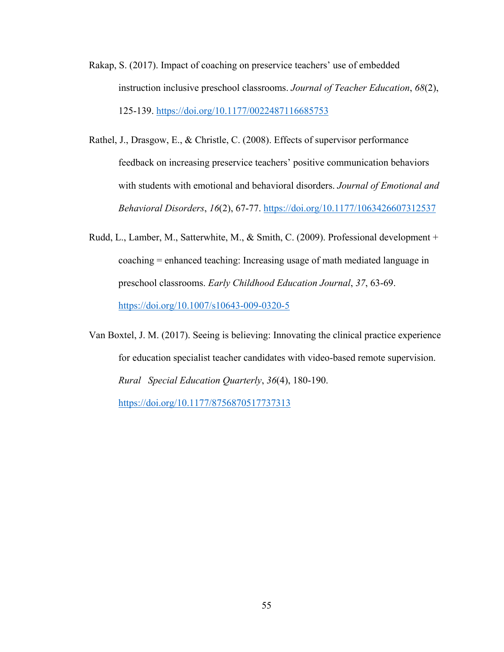- Rakap, S. (2017). Impact of coaching on preservice teachers' use of embedded instruction inclusive preschool classrooms. *Journal of Teacher Education*, *68*(2), 125-139.<https://doi.org/10.1177/0022487116685753>
- Rathel, J., Drasgow, E., & Christle, C. (2008). Effects of supervisor performance feedback on increasing preservice teachers' positive communication behaviors with students with emotional and behavioral disorders. *Journal of Emotional and Behavioral Disorders*, *16*(2), 67-77.<https://doi.org/10.1177/1063426607312537>
- Rudd, L., Lamber, M., Satterwhite, M., & Smith, C. (2009). Professional development + coaching = enhanced teaching: Increasing usage of math mediated language in preschool classrooms. *Early Childhood Education Journal*, *37*, 63-69. <https://doi.org/10.1007/s10643-009-0320-5>

Van Boxtel, J. M. (2017). Seeing is believing: Innovating the clinical practice experience for education specialist teacher candidates with video-based remote supervision. *Rural Special Education Quarterly*, *36*(4), 180-190. <https://doi.org/10.1177/8756870517737313>